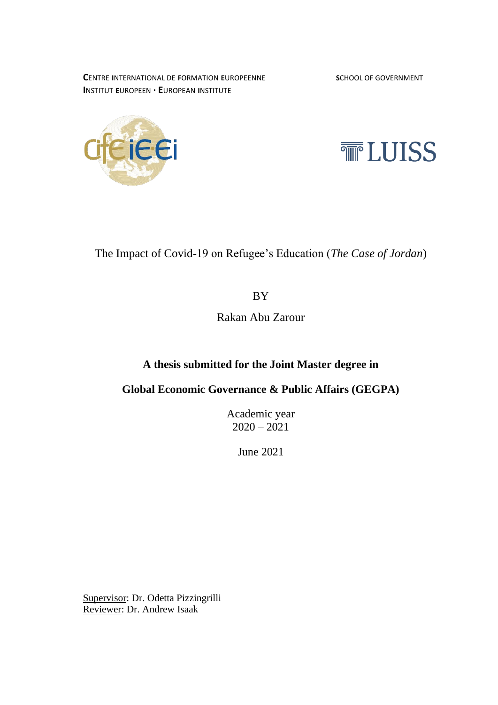**CENTRE INTERNATIONAL DE FORMATION EUROPEENNE <b>SCHOOL OF GOVERNMENT I**NSTITUT **E**UROPEEN **· E**UROPEAN **I**NSTITUTE





The Impact of Covid-19 on Refugee's Education (*The Case of Jordan*)

BY

Rakan Abu Zarour

## **A thesis submitted for the Joint Master degree in**

**Global Economic Governance & Public Affairs (GEGPA)**

Academic year  $2020 - 2021$ 

June 2021

Supervisor: Dr. Odetta Pizzingrilli Reviewer: Dr. Andrew Isaak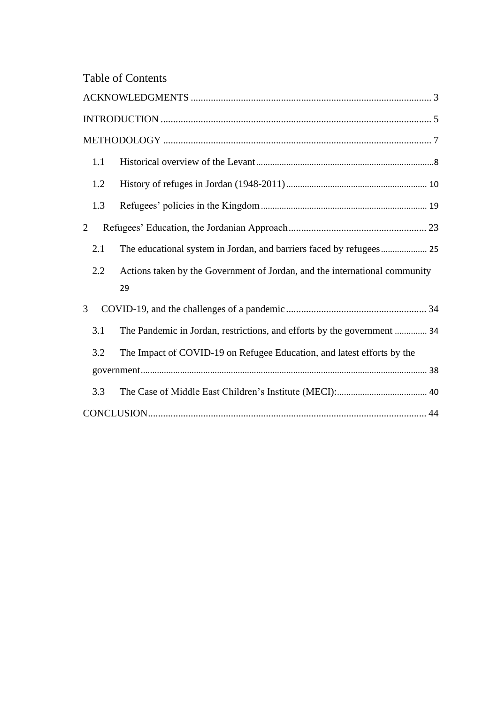| <b>Table of Contents</b> |  |
|--------------------------|--|
|--------------------------|--|

<span id="page-1-0"></span>

| 1.1 |                                                                                  |  |
|-----|----------------------------------------------------------------------------------|--|
| 1.2 |                                                                                  |  |
| 1.3 |                                                                                  |  |
| 2   |                                                                                  |  |
| 2.1 | The educational system in Jordan, and barriers faced by refugees 25              |  |
| 2.2 | Actions taken by the Government of Jordan, and the international community<br>29 |  |
| 3   |                                                                                  |  |
| 3.1 | The Pandemic in Jordan, restrictions, and efforts by the government  34          |  |
| 3.2 | The Impact of COVID-19 on Refugee Education, and latest efforts by the           |  |
|     |                                                                                  |  |
| 3.3 |                                                                                  |  |
|     |                                                                                  |  |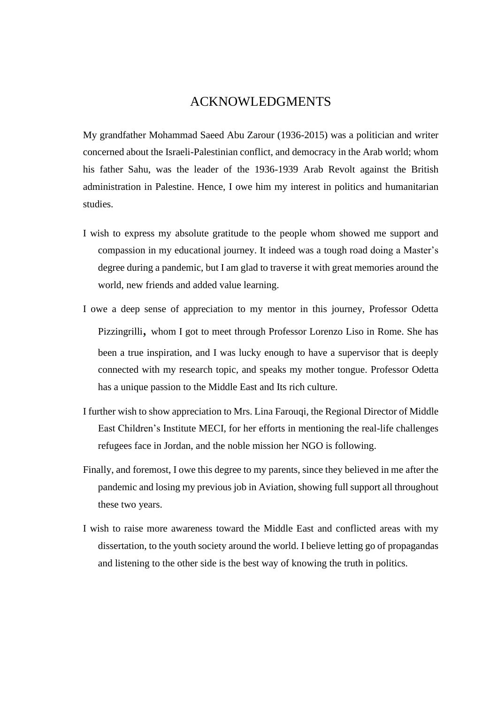## ACKNOWLEDGMENTS

My grandfather Mohammad Saeed Abu Zarour (1936-2015) was a politician and writer concerned about the Israeli-Palestinian conflict, and democracy in the Arab world; whom his father Sahu, was the leader of the 1936-1939 Arab Revolt against the British administration in Palestine. Hence, I owe him my interest in politics and humanitarian studies.

- I wish to express my absolute gratitude to the people whom showed me support and compassion in my educational journey. It indeed was a tough road doing a Master's degree during a pandemic, but I am glad to traverse it with great memories around the world, new friends and added value learning.
- I owe a deep sense of appreciation to my mentor in this journey, Professor Odetta Pizzingrilli, whom I got to meet through Professor Lorenzo Liso in Rome. She has been a true inspiration, and I was lucky enough to have a supervisor that is deeply connected with my research topic, and speaks my mother tongue. Professor Odetta has a unique passion to the Middle East and Its rich culture.
- I further wish to show appreciation to Mrs. Lina Farouqi, the Regional Director of Middle East Children's Institute MECI, for her efforts in mentioning the real-life challenges refugees face in Jordan, and the noble mission her NGO is following.
- Finally, and foremost, I owe this degree to my parents, since they believed in me after the pandemic and losing my previous job in Aviation, showing full support all throughout these two years.
- I wish to raise more awareness toward the Middle East and conflicted areas with my dissertation, to the youth society around the world. I believe letting go of propagandas and listening to the other side is the best way of knowing the truth in politics.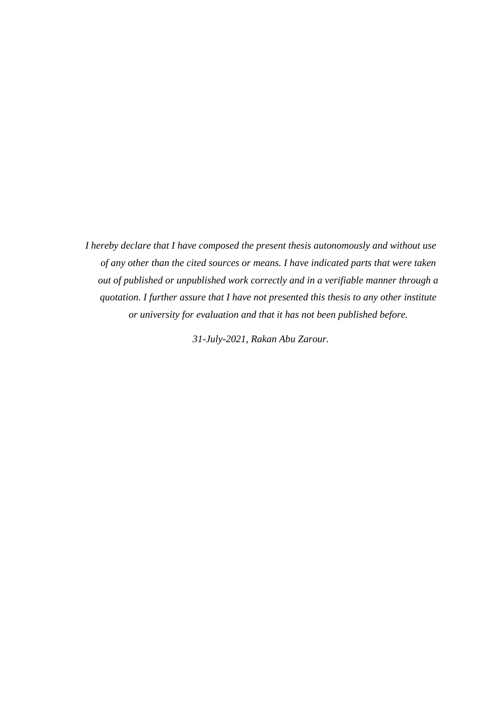*I hereby declare that I have composed the present thesis autonomously and without use of any other than the cited sources or means. I have indicated parts that were taken out of published or unpublished work correctly and in a verifiable manner through a quotation. I further assure that I have not presented this thesis to any other institute or university for evaluation and that it has not been published before.*

*31-July-2021, Rakan Abu Zarour.*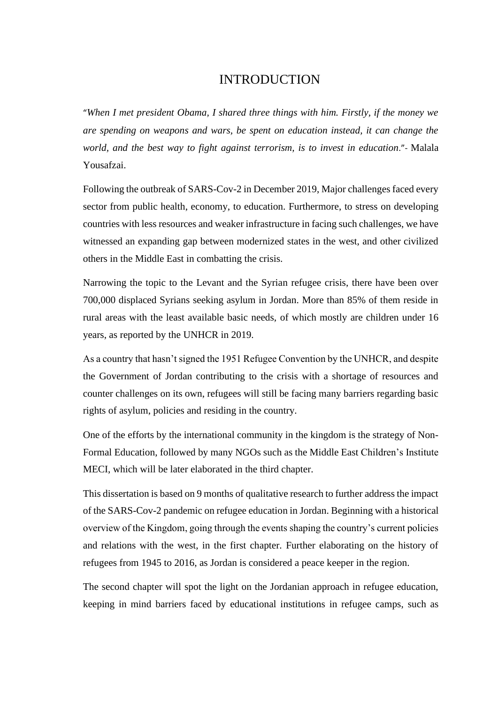## INTRODUCTION

<span id="page-4-0"></span>"*When I met president Obama, I shared three things with him. Firstly, if the money we are spending on weapons and wars, be spent on education instead, it can change the world, and the best way to fight against terrorism, is to invest in education*."- Malala Yousafzai.

Following the outbreak of SARS-Cov-2 in December 2019, Major challenges faced every sector from public health, economy, to education. Furthermore, to stress on developing countries with less resources and weaker infrastructure in facing such challenges, we have witnessed an expanding gap between modernized states in the west, and other civilized others in the Middle East in combatting the crisis.

Narrowing the topic to the Levant and the Syrian refugee crisis, there have been over 700,000 displaced Syrians seeking asylum in Jordan. More than 85% of them reside in rural areas with the least available basic needs, of which mostly are children under 16 years, as reported by the UNHCR in 2019.

As a country that hasn't signed the 1951 Refugee Convention by the UNHCR, and despite the Government of Jordan contributing to the crisis with a shortage of resources and counter challenges on its own, refugees will still be facing many barriers regarding basic rights of asylum, policies and residing in the country.

One of the efforts by the international community in the kingdom is the strategy of Non-Formal Education, followed by many NGOs such as the Middle East Children's Institute MECI, which will be later elaborated in the third chapter.

This dissertation is based on 9 months of qualitative research to further address the impact of the SARS-Cov-2 pandemic on refugee education in Jordan. Beginning with a historical overview of the Kingdom, going through the events shaping the country's current policies and relations with the west, in the first chapter. Further elaborating on the history of refugees from 1945 to 2016, as Jordan is considered a peace keeper in the region.

The second chapter will spot the light on the Jordanian approach in refugee education, keeping in mind barriers faced by educational institutions in refugee camps, such as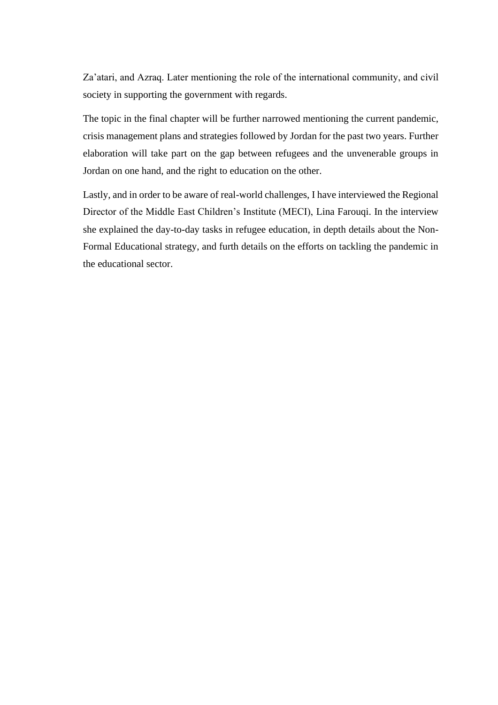Za'atari, and Azraq. Later mentioning the role of the international community, and civil society in supporting the government with regards.

The topic in the final chapter will be further narrowed mentioning the current pandemic, crisis management plans and strategies followed by Jordan for the past two years. Further elaboration will take part on the gap between refugees and the unvenerable groups in Jordan on one hand, and the right to education on the other.

Lastly, and in order to be aware of real-world challenges, I have interviewed the Regional Director of the Middle East Children's Institute (MECI), Lina Farouqi. In the interview she explained the day-to-day tasks in refugee education, in depth details about the Non-Formal Educational strategy, and furth details on the efforts on tackling the pandemic in the educational sector.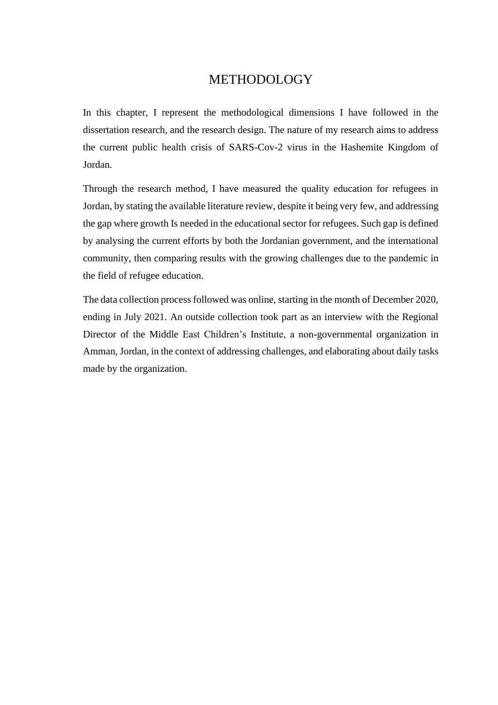## METHODOLOGY

<span id="page-6-0"></span>In this chapter, I represent the methodological dimensions I have followed in the dissertation research, and the research design. The nature of my research aims to address the current public health crisis of SARS-Cov-2 virus in the Hashemite Kingdom of Jordan.

Through the research method, I have measured the quality education for refugees in Jordan, by stating the available literature review, despite it being very few, and addressing the gap where growth Is needed in the educational sector for refugees. Such gap is defined by analysing the current efforts by both the Jordanian government, and the international community, then comparing results with the growing challenges due to the pandemic in the field of refugee education.

The data collection process followed was online, starting in the month of December 2020, ending in July 2021. An outside collection took part as an interview with the Regional Director of the Middle East Children's Institute, a non-governmental organization in Amman, Jordan, in the context of addressing challenges, and elaborating about daily tasks made by the organization.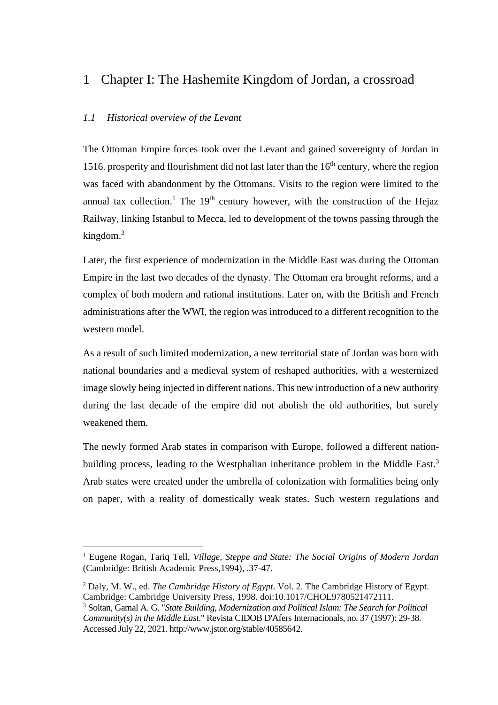# 1 Chapter I: The Hashemite Kingdom of Jordan, a crossroad

### <span id="page-7-0"></span>*1.1 Historical overview of the Levant*

The Ottoman Empire forces took over the Levant and gained sovereignty of Jordan in 1516. prosperity and flourishment did not last later than the  $16<sup>th</sup>$  century, where the region was faced with abandonment by the Ottomans. Visits to the region were limited to the annual tax collection.<sup>1</sup> The 19<sup>th</sup> century however, with the construction of the Hejaz Railway, linking Istanbul to Mecca, led to development of the towns passing through the kingdom. $2$ 

Later, the first experience of modernization in the Middle East was during the Ottoman Empire in the last two decades of the dynasty. The Ottoman era brought reforms, and a complex of both modern and rational institutions. Later on, with the British and French administrations after the WWI, the region was introduced to a different recognition to the western model.

As a result of such limited modernization, a new territorial state of Jordan was born with national boundaries and a medieval system of reshaped authorities, with a westernized image slowly being injected in different nations. This new introduction of a new authority during the last decade of the empire did not abolish the old authorities, but surely weakened them.

The newly formed Arab states in comparison with Europe, followed a different nationbuilding process, leading to the Westphalian inheritance problem in the Middle East.<sup>3</sup> Arab states were created under the umbrella of colonization with formalities being only on paper, with a reality of domestically weak states. Such western regulations and

<sup>1</sup> Eugene Rogan, Tariq Tell, *Village, Steppe and State: The Social Origins of Modern Jordan* (Cambridge: British Academic Press,1994), .37-47.

<sup>2</sup> Daly, M. W., ed. *The Cambridge History of Egypt*. Vol. 2. The Cambridge History of Egypt. Cambridge: Cambridge University Press, 1998. doi:10.1017/CHOL9780521472111.

<sup>3</sup> Soltan, Gamal A. G. "*State Building, Modernization and Political Islam: The Search for Political Community(s) in the Middle East*." Revista CIDOB D'Afers Internacionals, no. 37 (1997): 29-38. Accessed July 22, 2021. http://www.jstor.org/stable/40585642.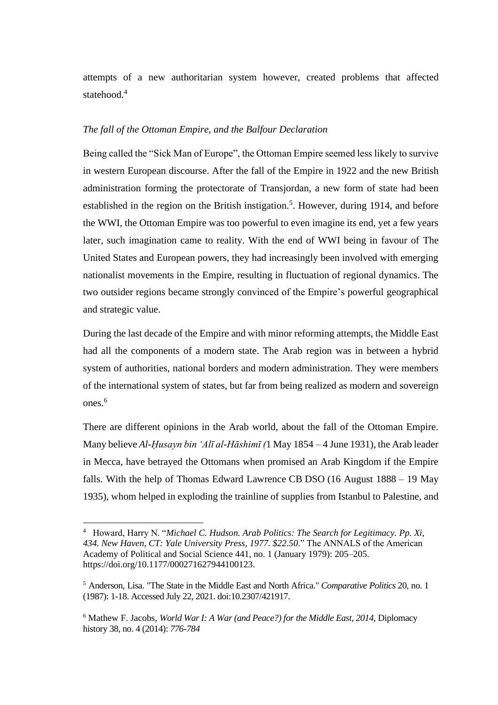attempts of a new authoritarian system however, created problems that affected statehood.<sup>4</sup>

### *The fall of the Ottoman Empire, and the Balfour Declaration*

Being called the "Sick Man of Europe", the Ottoman Empire seemed less likely to survive in western European discourse. After the fall of the Empire in 1922 and the new British administration forming the protectorate of Transjordan, a new form of state had been established in the region on the British instigation.<sup>5</sup>. However, during 1914, and before the WWI, the Ottoman Empire was too powerful to even imagine its end, yet a few years later, such imagination came to reality. With the end of WWI being in favour of The United States and European powers, they had increasingly been involved with emerging nationalist movements in the Empire, resulting in fluctuation of regional dynamics. The two outsider regions became strongly convinced of the Empire's powerful geographical and strategic value.

During the last decade of the Empire and with minor reforming attempts, the Middle East had all the components of a modern state. The Arab region was in between a hybrid system of authorities, national borders and modern administration. They were members of the international system of states, but far from being realized as modern and sovereign ones.<sup>6</sup>

There are different opinions in the Arab world, about the fall of the Ottoman Empire. Many believe *Al-Ḥusayn bin 'Alī al-Hāshimī (*1 May 1854 – 4 June 1931), the Arab leader in Mecca, have betrayed the Ottomans when promised an Arab Kingdom if the Empire falls. With the help of Thomas Edward Lawrence [CB](https://en.wikipedia.org/wiki/Companion_of_the_Order_of_the_Bath) [DSO](https://en.wikipedia.org/wiki/Distinguished_Service_Order) (16 August 1888 – 19 May 1935), whom helped in exploding the trainline of supplies from Istanbul to Palestine, and

<sup>4</sup> Howard, Harry N. "*Michael C. Hudson. Arab Politics: The Search for Legitimacy. Pp. Xi, 434. New Haven, CT: Yale University Press, 1977. \$22.50*." The ANNALS of the American Academy of Political and Social Science 441, no. 1 (January 1979): 205–205. [https://doi.org/10.1177/000271627944100123.](https://doi.org/10.1177/000271627944100123)

<sup>5</sup> Anderson, Lisa. "The State in the Middle East and North Africa." *Comparative Politics* 20, no. 1 (1987): 1-18. Accessed July 22, 2021. doi:10.2307/421917.

<sup>6</sup> Mathew F. Jacobs, *World War I: A War (and Peace?) for the Middle East, 2014,* Diplomacy history 38, no. 4 (2014): *776-784*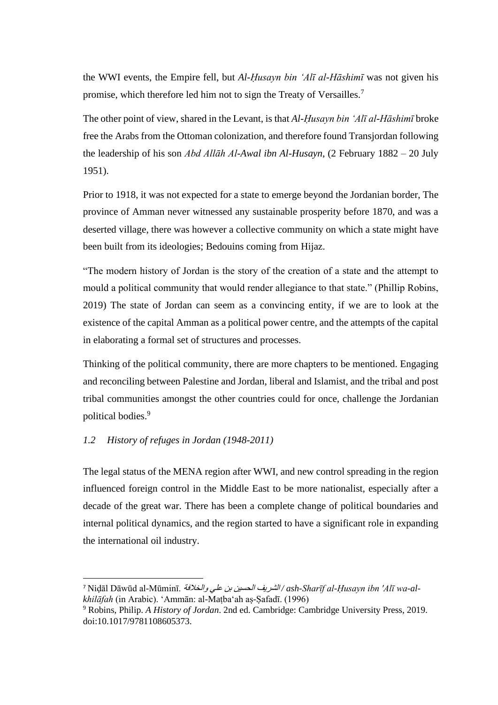the WWI events, the Empire fell, but *Al-Ḥusayn bin 'Alī al-Hāshimī* was not given his promise, which therefore led him not to sign the Treaty of Versailles.<sup>7</sup>

The other point of view, shared in the Levant, is that *Al-Ḥusayn bin 'Alī al-Hāshimī* broke free the Arabs from the Ottoman colonization, and therefore found Transjordan following the leadership of his son *Abd Allāh Al-Awal ibn Al-Husayn*, (2 February 1882 – 20 July 1951).

Prior to 1918, it was not expected for a state to emerge beyond the Jordanian border, The province of Amman never witnessed any sustainable prosperity before 1870, and was a deserted village, there was however a collective community on which a state might have been built from its ideologies; Bedouins coming from Hijaz.

"The modern history of Jordan is the story of the creation of a state and the attempt to mould a political community that would render allegiance to that state." (Phillip Robins, 2019) The state of Jordan can seem as a convincing entity, if we are to look at the existence of the capital Amman as a political power centre, and the attempts of the capital in elaborating a formal set of structures and processes.

Thinking of the political community, there are more chapters to be mentioned. Engaging and reconciling between Palestine and Jordan, liberal and Islamist, and the tribal and post tribal communities amongst the other countries could for once, challenge the Jordanian political bodies. 9

## <span id="page-9-0"></span>*1.2 History of refuges in Jordan (1948-2011)*

The legal status of the MENA region after WWI, and new control spreading in the region influenced foreign control in the Middle East to be more nationalist, especially after a decade of the great war. There has been a complete change of political boundaries and internal political dynamics, and the region started to have a significant role in expanding the international oil industry.

<sup>7</sup> Niḍāl Dāwūd al-Mūminī. والخالفة علي بن الحسين الشريف */ ash-Sharīf al-Ḥusayn ibn 'Alī wa-alkhilāfah* (in Arabic). 'Ammān: al-Maṭba'ah aṣ-Ṣafadī. (1996)

<sup>9</sup> Robins, Philip. *A History of Jordan*. 2nd ed. Cambridge: Cambridge University Press, 2019. doi:10.1017/9781108605373.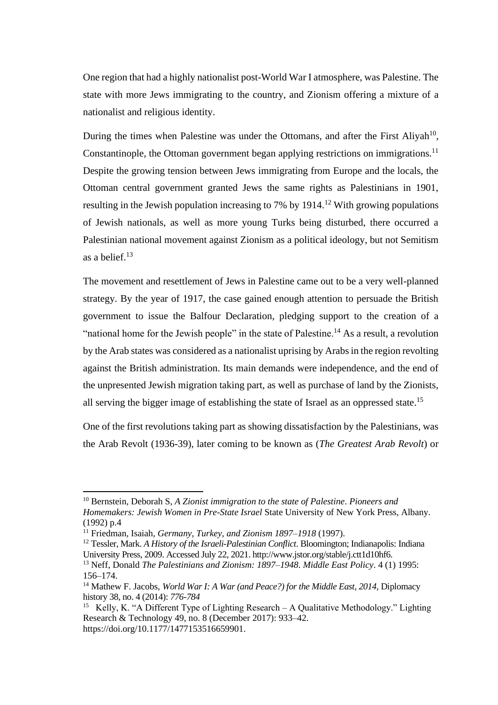One region that had a highly nationalist post-World War I atmosphere, was Palestine. The state with more Jews immigrating to the country, and Zionism offering a mixture of a nationalist and religious identity.

During the times when Palestine was under the Ottomans, and after the First Aliyah<sup>10</sup>, Constantinople, the Ottoman government began applying restrictions on immigrations.<sup>11</sup> Despite the growing tension between Jews immigrating from Europe and the locals, the Ottoman central government granted Jews the same rights as Palestinians in 1901, resulting in the Jewish population increasing to 7% by  $1914<sup>12</sup>$  With growing populations of Jewish nationals, as well as more young Turks being disturbed, there occurred a Palestinian national movement against Zionism as a political ideology, but not Semitism as a belief. $13$ 

The movement and resettlement of Jews in Palestine came out to be a very well-planned strategy. By the year of 1917, the case gained enough attention to persuade the British government to issue the Balfour Declaration, pledging support to the creation of a "national home for the Jewish people" in the state of Palestine.<sup>14</sup> As a result, a revolution by the Arab states was considered as a nationalist uprising by Arabs in the region revolting against the British administration. Its main demands were independence, and the end of the unpresented Jewish migration taking part, as well as purchase of land by the Zionists, all serving the bigger image of establishing the state of Israel as an oppressed state. 15

One of the first revolutions taking part as showing dissatisfaction by the Palestinians, was the Arab Revolt (1936-39), later coming to be known as (*The Greatest Arab Revolt*) or

<sup>10</sup> Bernstein, Deborah S, *A Zionist immigration to the state of Palestine*. *Pioneers and Homemakers: Jewish Women in Pre-State Israel* State University of New York Press, Albany. (1992) p.4

<sup>11</sup> Friedman, Isaiah, *[Germany, Turkey, and Zionism 1897–1918](https://books.google.com/books?id=iv1DADhI6h4C)* (1997).

<sup>12</sup> Tessler, Mark. *A History of the Israeli-Palestinian Conflict*. Bloomington; Indianapolis: Indiana University Press, 2009. Accessed July 22, 2021. http://www.jstor.org/stable/j.ctt1d10hf6.

<sup>13</sup> Neff, Donald *The Palestinians and Zionism: 1897–1948*. *Middle East Policy*. 4 (1) 1995: 156–174.

<sup>14</sup> Mathew F. Jacobs, *World War I: A War (and Peace?) for the Middle East, 2014,* Diplomacy history 38, no. 4 (2014): *776-784*

<sup>&</sup>lt;sup>15</sup> Kelly, K. "A Different Type of Lighting Research – A Qualitative Methodology." Lighting Research & Technology 49, no. 8 (December 2017): 933–42. https://doi.org/10.1177/1477153516659901.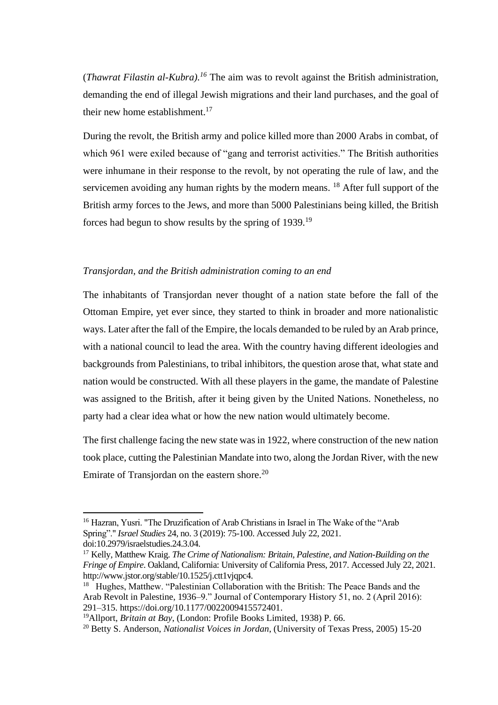(*Thawrat Filastin al-Kubra).<sup>16</sup>* The aim was to revolt against the British administration, demanding the end of illegal Jewish migrations and their land purchases, and the goal of their new home establishment. 17

During the revolt, the British army and police killed more than 2000 Arabs in combat, of which 961 were exiled because of "gang and terrorist activities." The British authorities were inhumane in their response to the revolt, by not operating the rule of law, and the servicemen avoiding any human rights by the modern means. <sup>18</sup> After full support of the British army forces to the Jews, and more than 5000 Palestinians being killed, the British forces had begun to show results by the spring of 1939.<sup>19</sup>

### *Transjordan, and the British administration coming to an end*

The inhabitants of Transjordan never thought of a nation state before the fall of the Ottoman Empire, yet ever since, they started to think in broader and more nationalistic ways. Later after the fall of the Empire, the locals demanded to be ruled by an Arab prince, with a national council to lead the area. With the country having different ideologies and backgrounds from Palestinians, to tribal inhibitors, the question arose that, what state and nation would be constructed. With all these players in the game, the mandate of Palestine was assigned to the British, after it being given by the United Nations. Nonetheless, no party had a clear idea what or how the new nation would ultimately become.

The first challenge facing the new state was in 1922, where construction of the new nation took place, cutting the Palestinian Mandate into two, along the Jordan River, with the new Emirate of Transjordan on the eastern shore.<sup>20</sup>

<sup>16</sup> Hazran, Yusri. "The Druzification of Arab Christians in Israel in The Wake of the "Arab Spring"." *Israel Studies* 24, no. 3 (2019): 75-100. Accessed July 22, 2021. doi:10.2979/israelstudies.24.3.04.

<sup>17</sup> Kelly, Matthew Kraig. *The Crime of Nationalism: Britain, Palestine, and Nation-Building on the Fringe of Empire*. Oakland, California: University of California Press, 2017. Accessed July 22, 2021. http://www.jstor.org/stable/10.1525/j.ctt1vjqpc4.

<sup>&</sup>lt;sup>18</sup> Hughes, Matthew. "Palestinian Collaboration with the British: The Peace Bands and the Arab Revolt in Palestine, 1936–9." Journal of Contemporary History 51, no. 2 (April 2016): 291–315. https://doi.org/10.1177/0022009415572401.

<sup>19</sup>Allport, *Britain at Bay*, (London: Profile Books Limited, 1938) P. 66.

<sup>20</sup> Betty S. Anderson, *Nationalist Voices in Jordan*, (University of Texas Press, 2005) 15-20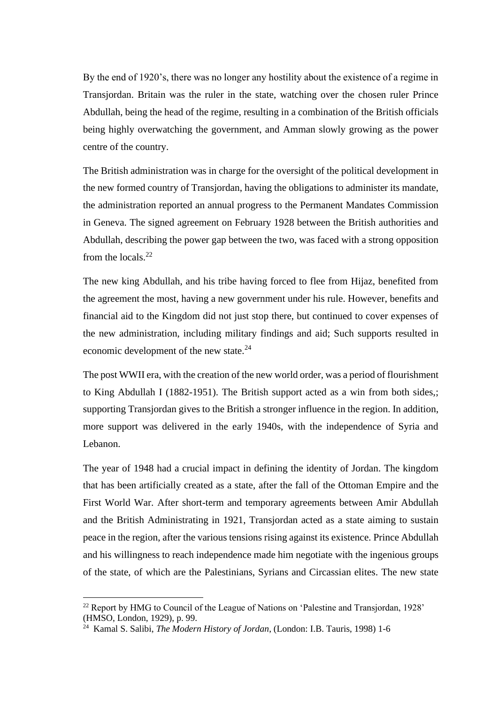By the end of 1920's, there was no longer any hostility about the existence of a regime in Transjordan. Britain was the ruler in the state, watching over the chosen ruler Prince Abdullah, being the head of the regime, resulting in a combination of the British officials being highly overwatching the government, and Amman slowly growing as the power centre of the country.

The British administration was in charge for the oversight of the political development in the new formed country of Transjordan, having the obligations to administer its mandate, the administration reported an annual progress to the Permanent Mandates Commission in Geneva. The signed agreement on February 1928 between the British authorities and Abdullah, describing the power gap between the two, was faced with a strong opposition from the locals.<sup>22</sup>

The new king Abdullah, and his tribe having forced to flee from Hijaz, benefited from the agreement the most, having a new government under his rule. However, benefits and financial aid to the Kingdom did not just stop there, but continued to cover expenses of the new administration, including military findings and aid; Such supports resulted in economic development of the new state.<sup>24</sup>

The post WWII era, with the creation of the new world order, was a period of flourishment to King Abdullah I (1882-1951). The British support acted as a win from both sides,; supporting Transjordan gives to the British a stronger influence in the region. In addition, more support was delivered in the early 1940s, with the independence of Syria and Lebanon.

The year of 1948 had a crucial impact in defining the identity of Jordan. The kingdom that has been artificially created as a state, after the fall of the Ottoman Empire and the First World War. After short-term and temporary agreements between Amir Abdullah and the British Administrating in 1921, Transjordan acted as a state aiming to sustain peace in the region, after the various tensions rising against its existence. Prince Abdullah and his willingness to reach independence made him negotiate with the ingenious groups of the state, of which are the Palestinians, Syrians and Circassian elites. The new state

<sup>22</sup> Report by HMG to Council of the League of Nations on 'Palestine and Transjordan, 1928' (HMSO, London, 1929), p. 99.

<sup>24</sup> Kamal S. Salibi, *The Modern History of Jordan*, (London: I.B. Tauris, 1998) 1-6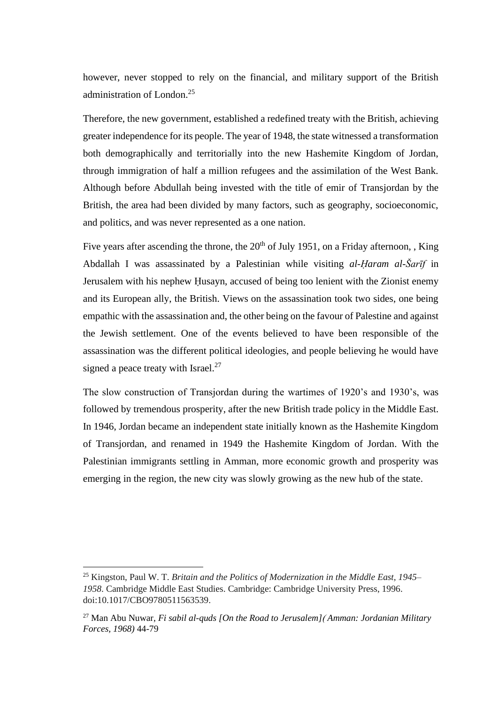however, never stopped to rely on the financial, and military support of the British administration of London.<sup>25</sup>

Therefore, the new government, established a redefined treaty with the British, achieving greater independence for its people. The year of 1948, the state witnessed a transformation both demographically and territorially into the new Hashemite Kingdom of Jordan, through immigration of half a million refugees and the assimilation of the West Bank. Although before Abdullah being invested with the title of emir of Transjordan by the British, the area had been divided by many factors, such as geography, socioeconomic, and politics, and was never represented as a one nation.

Five years after ascending the throne, the  $20<sup>th</sup>$  of July 1951, on a Friday afternoon, , King Abdallah I was assassinated by a Palestinian while visiting *al-Ḥaram al-Šarīf* in Jerusalem with his nephew Ḥusayn, accused of being too lenient with the Zionist enemy and its European ally, the British. Views on the assassination took two sides, one being empathic with the assassination and, the other being on the favour of Palestine and against the Jewish settlement. One of the events believed to have been responsible of the assassination was the different political ideologies, and people believing he would have signed a peace treaty with Israel.<sup>27</sup>

The slow construction of Transjordan during the wartimes of 1920's and 1930's, was followed by tremendous prosperity, after the new British trade policy in the Middle East. In 1946, Jordan became an independent state initially known as the Hashemite Kingdom of Transjordan, and renamed in 1949 the Hashemite Kingdom of Jordan. With the Palestinian immigrants settling in Amman, more economic growth and prosperity was emerging in the region, the new city was slowly growing as the new hub of the state.

<sup>25</sup> Kingston, Paul W. T. *Britain and the Politics of Modernization in the Middle East, 1945– 1958*. Cambridge Middle East Studies. Cambridge: Cambridge University Press, 1996. doi:10.1017/CBO9780511563539.

<sup>27</sup> Man Abu Nuwar, *Fi sabil al-quds [On the Road to Jerusalem]*) *Amman: Jordanian Military Forces, 1968)* 44-79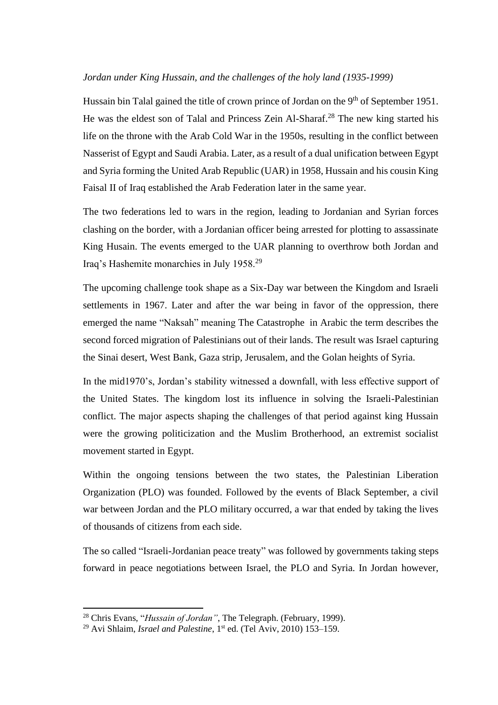#### *Jordan under King Hussain, and the challenges of the holy land (1935-1999)*

Hussain bin Talal gained the title of crown prince of Jordan on the 9<sup>th</sup> of September 1951. He was the eldest son of Talal and Princess Zein Al-Sharaf.<sup>28</sup> The new king started his life on the throne with the Arab Cold War in the 1950s, resulting in the conflict between Nasserist of Egypt and Saudi Arabia. Later, as a result of a dual unification between Egypt and Syria forming the United Arab Republic (UAR) in 1958, Hussain and his cousin King Faisal II of Iraq established the Arab Federation later in the same year.

The two federations led to wars in the region, leading to Jordanian and Syrian forces clashing on the border, with a Jordanian officer being arrested for plotting to assassinate King Husain. The events emerged to the UAR planning to overthrow both Jordan and Iraq's Hashemite monarchies in July 1958.<sup>29</sup>

The upcoming challenge took shape as a Six-Day war between the Kingdom and Israeli settlements in 1967. Later and after the war being in favor of the oppression, there emerged the name "Naksah" meaning The Catastrophe in Arabic the term describes the second forced migration of Palestinians out of their lands. The result was Israel capturing the Sinai desert, West Bank, Gaza strip, Jerusalem, and the Golan heights of Syria.

In the mid1970's, Jordan's stability witnessed a downfall, with less effective support of the United States. The kingdom lost its influence in solving the Israeli-Palestinian conflict. The major aspects shaping the challenges of that period against king Hussain were the growing politicization and the Muslim Brotherhood, an extremist socialist movement started in Egypt.

Within the ongoing tensions between the two states, the Palestinian Liberation Organization (PLO) was founded. Followed by the events of Black September, a civil war between Jordan and the PLO military occurred, a war that ended by taking the lives of thousands of citizens from each side.

The so called "Israeli-Jordanian peace treaty" was followed by governments taking steps forward in peace negotiations between Israel, the PLO and Syria. In Jordan however,

<sup>28</sup> Chris Evans, "*Hussain of Jordan"*, The Telegraph. (February, 1999).

<sup>&</sup>lt;sup>29</sup> Avi Shlaim, *Israel and Palestine*, 1<sup>st</sup> [ed. \(Tel Aviv, 2010\)](https://en.wikipedia.org/wiki/Hussein_of_Jordan#CITEREFShlaim2009) 153–159.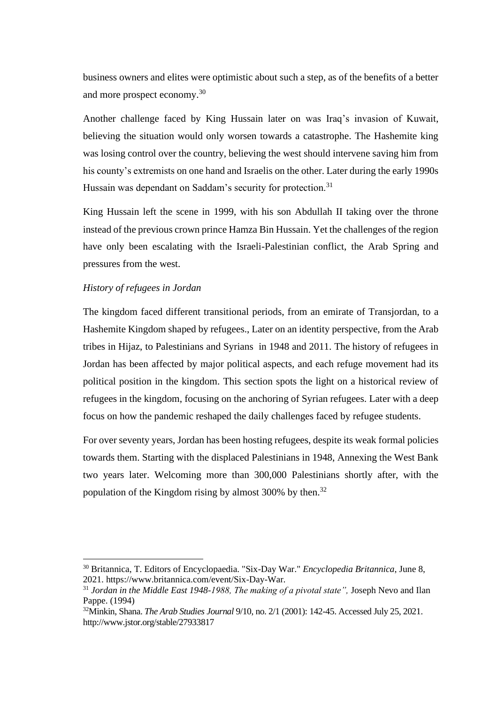business owners and elites were optimistic about such a step, as of the benefits of a better and more prospect economy.<sup>30</sup>

Another challenge faced by King Hussain later on was Iraq's invasion of Kuwait, believing the situation would only worsen towards a catastrophe. The Hashemite king was losing control over the country, believing the west should intervene saving him from his county's extremists on one hand and Israelis on the other. Later during the early 1990s Hussain was dependant on Saddam's security for protection.<sup>31</sup>

King Hussain left the scene in 1999, with his son Abdullah II taking over the throne instead of the previous crown prince Hamza Bin Hussain. Yet the challenges of the region have only been escalating with the Israeli-Palestinian conflict, the Arab Spring and pressures from the west.

### *History of refugees in Jordan*

The kingdom faced different transitional periods, from an emirate of Transjordan, to a Hashemite Kingdom shaped by refugees., Later on an identity perspective, from the Arab tribes in Hijaz, to Palestinians and Syrians in 1948 and 2011. The history of refugees in Jordan has been affected by major political aspects, and each refuge movement had its political position in the kingdom. This section spots the light on a historical review of refugees in the kingdom, focusing on the anchoring of Syrian refugees. Later with a deep focus on how the pandemic reshaped the daily challenges faced by refugee students.

For over seventy years, Jordan has been hosting refugees, despite its weak formal policies towards them. Starting with the displaced Palestinians in 1948, Annexing the West Bank two years later. Welcoming more than 300,000 Palestinians shortly after, with the population of the Kingdom rising by almost 300% by then.<sup>32</sup>

<sup>30</sup> Britannica, T. Editors of Encyclopaedia. "Six-Day War." *Encyclopedia Britannica*, June 8, 2021. https://www.britannica.com/event/Six-Day-War.

<sup>&</sup>lt;sup>31</sup> Jordan in the Middle East 1948-1988, The making of a pivotal state", Joseph Nevo and Ilan Pappe. (1994)

<sup>32</sup>Minkin, Shana. *The Arab Studies Journal* 9/10, no. 2/1 (2001): 142-45. Accessed July 25, 2021. http://www.jstor.org/stable/27933817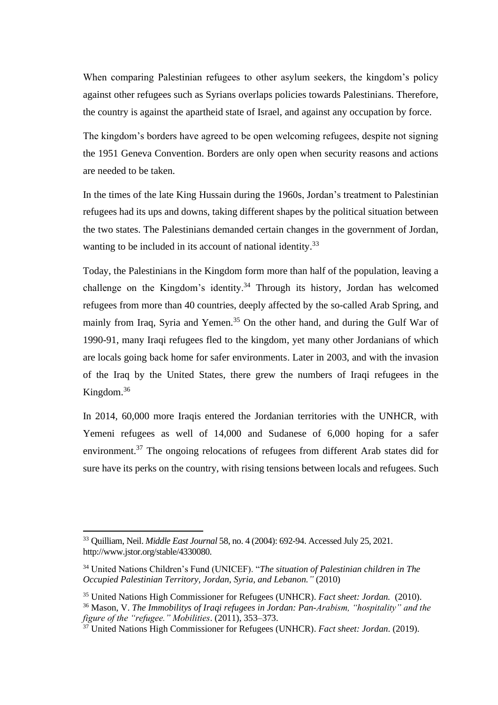When comparing Palestinian refugees to other asylum seekers, the kingdom's policy against other refugees such as Syrians overlaps policies towards Palestinians. Therefore, the country is against the apartheid state of Israel, and against any occupation by force.

The kingdom's borders have agreed to be open welcoming refugees, despite not signing the 1951 Geneva Convention. Borders are only open when security reasons and actions are needed to be taken.

In the times of the late King Hussain during the 1960s, Jordan's treatment to Palestinian refugees had its ups and downs, taking different shapes by the political situation between the two states. The Palestinians demanded certain changes in the government of Jordan, wanting to be included in its account of national identity.<sup>33</sup>

Today, the Palestinians in the Kingdom form more than half of the population, leaving a challenge on the Kingdom's identity.<sup>34</sup> Through its history, Jordan has welcomed refugees from more than 40 countries, deeply affected by the so-called Arab Spring, and mainly from Iraq, Syria and Yemen.<sup>35</sup> On the other hand, and during the Gulf War of 1990-91, many Iraqi refugees fled to the kingdom, yet many other Jordanians of which are locals going back home for safer environments. Later in 2003, and with the invasion of the Iraq by the United States, there grew the numbers of Iraqi refugees in the Kingdom.<sup>36</sup>

In 2014, 60,000 more Iraqis entered the Jordanian territories with the UNHCR, with Yemeni refugees as well of 14,000 and Sudanese of 6,000 hoping for a safer environment.<sup>37</sup> The ongoing relocations of refugees from different Arab states did for sure have its perks on the country, with rising tensions between locals and refugees. Such

<sup>33</sup> Quilliam, Neil. *Middle East Journal* 58, no. 4 (2004): 692-94. Accessed July 25, 2021. http://www.jstor.org/stable/4330080.

<sup>34</sup> United Nations Children's Fund (UNICEF). "*The situation of Palestinian children in The Occupied Palestinian Territory, Jordan, Syria, and Lebanon."* (2010)

<sup>35</sup> United Nations High Commissioner for Refugees (UNHCR). *Fact sheet: Jordan.* (2010).

<sup>36</sup> Mason, V. *The Immobilitys of Iraqi refugees in Jordan: Pan-Arabism, "hospitality" and the figure of the "refugee." Mobilities*. (2011), 353–373.

<sup>37</sup> United Nations High Commissioner for Refugees (UNHCR). *Fact sheet: Jordan*. (2019).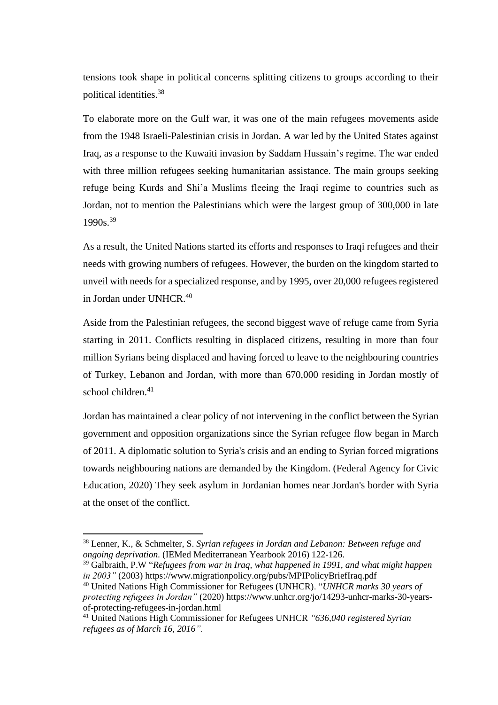tensions took shape in political concerns splitting citizens to groups according to their political identities. 38

To elaborate more on the Gulf war, it was one of the main refugees movements aside from the 1948 Israeli-Palestinian crisis in Jordan. A war led by the United States against Iraq, as a response to the Kuwaiti invasion by Saddam Hussain's regime. The war ended with three million refugees seeking humanitarian assistance. The main groups seeking refuge being Kurds and Shi'a Muslims fleeing the Iraqi regime to countries such as Jordan, not to mention the Palestinians which were the largest group of 300,000 in late 1990s.<sup>39</sup>

As a result, the United Nations started its efforts and responses to Iraqi refugees and their needs with growing numbers of refugees. However, the burden on the kingdom started to unveil with needs for a specialized response, and by 1995, over 20,000 refugees registered in Jordan under UNHCR. 40

Aside from the Palestinian refugees, the second biggest wave of refuge came from Syria starting in 2011. Conflicts resulting in displaced citizens, resulting in more than four million Syrians being displaced and having forced to leave to the neighbouring countries of Turkey, Lebanon and Jordan, with more than 670,000 residing in Jordan mostly of school children. $41$ 

Jordan has maintained a clear policy of not intervening in the conflict between the Syrian government and opposition organizations since the Syrian refugee flow began in March of 2011. A diplomatic solution to Syria's crisis and an ending to Syrian forced migrations towards neighbouring nations are demanded by the Kingdom. (Federal Agency for Civic Education, 2020) They seek asylum in Jordanian homes near Jordan's border with Syria at the onset of the conflict.

<sup>38</sup> Lenner, K., & Schmelter, S. *Syrian refugees in Jordan and Lebanon: Between refuge and ongoing deprivation.* (IEMed Mediterranean Yearbook 2016) 122-126.

<sup>39</sup> Galbraith, P.W "*Refugees from war in Iraq, what happened in 1991, and what might happen in 2003"* (2003) https://www.migrationpolicy.org/pubs/MPIPolicyBriefIraq.pdf

<sup>40</sup> United Nations High Commissioner for Refugees (UNHCR). "*UNHCR marks 30 years of protecting refugees in Jordan"* (2020) https://www.unhcr.org/jo/14293-unhcr-marks-30-yearsof-protecting-refugees-in-jordan.html

<sup>41</sup> United Nations High Commissioner for Refugees UNHCR *"636,040 registered Syrian refugees as of March 16, 2016".*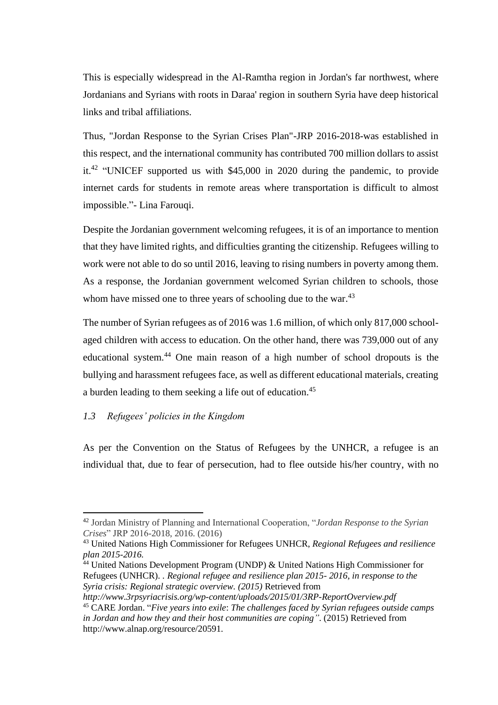This is especially widespread in the Al-Ramtha region in Jordan's far northwest, where Jordanians and Syrians with roots in Daraa' region in southern Syria have deep historical links and tribal affiliations.

Thus, "Jordan Response to the Syrian Crises Plan"-JRP 2016-2018-was established in this respect, and the international community has contributed 700 million dollars to assist it.<sup>42</sup> "UNICEF supported us with \$45,000 in 2020 during the pandemic, to provide internet cards for students in remote areas where transportation is difficult to almost impossible."- Lina Farouqi.

Despite the Jordanian government welcoming refugees, it is of an importance to mention that they have limited rights, and difficulties granting the citizenship. Refugees willing to work were not able to do so until 2016, leaving to rising numbers in poverty among them. As a response, the Jordanian government welcomed Syrian children to schools, those whom have missed one to three years of schooling due to the war.<sup>43</sup>

The number of Syrian refugees as of 2016 was 1.6 million, of which only 817,000 schoolaged children with access to education. On the other hand, there was 739,000 out of any educational system.<sup>44</sup> One main reason of a high number of school dropouts is the bullying and harassment refugees face, as well as different educational materials, creating a burden leading to them seeking a life out of education.<sup>45</sup>

## <span id="page-18-0"></span>*1.3 Refugees' policies in the Kingdom*

As per the Convention on the Status of Refugees by the UNHCR, a refugee is an individual that, due to fear of persecution, had to flee outside his/her country, with no

*http://www.3rpsyriacrisis.org/wp-content/uploads/2015/01/3RP-ReportOverview.pdf*

<sup>42</sup> Jordan Ministry of Planning and International Cooperation, "*Jordan Response to the Syrian Crises*" JRP 2016-2018, 2016. (2016)

<sup>43</sup> United Nations High Commissioner for Refugees UNHCR, *Regional Refugees and resilience plan 2015-2016.*

 $^{44}$  United Nations Development Program (UNDP) & United Nations High Commissioner for Refugees (UNHCR). *. Regional refugee and resilience plan 2015- 2016, in response to the Syria crisis: Regional strategic overview. (2015)* Retrieved from

<sup>45</sup> CARE Jordan. "*Five years into exile*: *The challenges faced by Syrian refugees outside camps in Jordan and how they and their host communities are coping"*. (2015) Retrieved from http://www.alnap.org/resource/20591.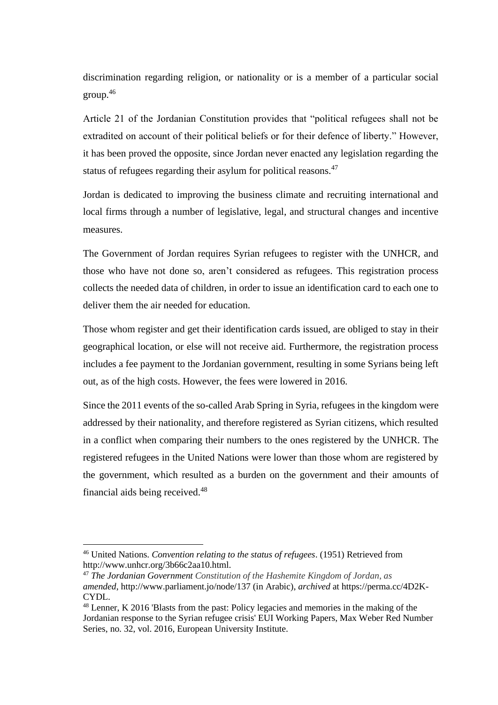discrimination regarding religion, or nationality or is a member of a particular social group.<sup>46</sup>

Article 21 of the Jordanian Constitution provides that "political refugees shall not be extradited on account of their political beliefs or for their defence of liberty." However, it has been proved the opposite, since Jordan never enacted any legislation regarding the status of refugees regarding their asylum for political reasons.<sup>47</sup>

Jordan is dedicated to improving the business climate and recruiting international and local firms through a number of legislative, legal, and structural changes and incentive measures.

The Government of Jordan requires Syrian refugees to register with the UNHCR, and those who have not done so, aren't considered as refugees. This registration process collects the needed data of children, in order to issue an identification card to each one to deliver them the air needed for education.

Those whom register and get their identification cards issued, are obliged to stay in their geographical location, or else will not receive aid. Furthermore, the registration process includes a fee payment to the Jordanian government, resulting in some Syrians being left out, as of the high costs. However, the fees were lowered in 2016.

Since the 2011 events of the so-called Arab Spring in Syria, refugees in the kingdom were addressed by their nationality, and therefore registered as Syrian citizens, which resulted in a conflict when comparing their numbers to the ones registered by the UNHCR. The registered refugees in the United Nations were lower than those whom are registered by the government, which resulted as a burden on the government and their amounts of financial aids being received.<sup>48</sup>

<sup>46</sup> United Nations. *Convention relating to the status of refugees*. (1951) Retrieved from http://www.unhcr.org/3b66c2aa10.html.

<sup>47</sup> *The Jordanian Government Constitution of the Hashemite Kingdom of Jordan*, *as amended*, <http://www.parliament.jo/node/137> (in Arabic), *archived* at [https://perma.cc/4D2K-](https://perma.cc/4D2K-CYDL)[CYDL.](https://perma.cc/4D2K-CYDL)

<sup>48</sup> Lenner, K 2016 'Blasts from the past: Policy legacies and memories in the making of the Jordanian response to the Syrian refugee crisis' EUI Working Papers, Max Weber Red Number Series, no. 32, vol. 2016, European University Institute.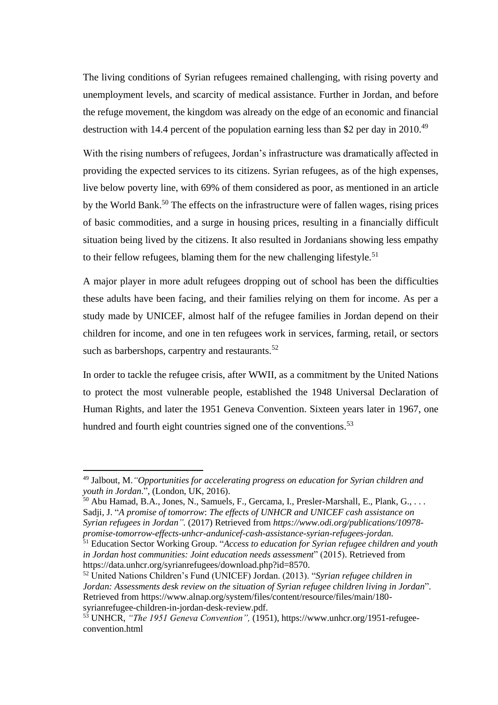The living conditions of Syrian refugees remained challenging, with rising poverty and unemployment levels, and scarcity of medical assistance. Further in Jordan, and before the refuge movement, the kingdom was already on the edge of an economic and financial destruction with 14.4 percent of the population earning less than \$2 per day in 2010.<sup>49</sup>

With the rising numbers of refugees, Jordan's infrastructure was dramatically affected in providing the expected services to its citizens. Syrian refugees, as of the high expenses, live below poverty line, with 69% of them considered as poor, as mentioned in an article by the World Bank.<sup>50</sup> The effects on the infrastructure were of fallen wages, rising prices of basic commodities, and a surge in housing prices, resulting in a financially difficult situation being lived by the citizens. It also resulted in Jordanians showing less empathy to their fellow refugees, blaming them for the new challenging lifestyle.<sup>51</sup>

A major player in more adult refugees dropping out of school has been the difficulties these adults have been facing, and their families relying on them for income. As per a study made by UNICEF, almost half of the refugee families in Jordan depend on their children for income, and one in ten refugees work in services, farming, retail, or sectors such as barbershops, carpentry and restaurants.<sup>52</sup>

In order to tackle the refugee crisis, after WWII, as a commitment by the United Nations to protect the most vulnerable people, established the 1948 Universal Declaration of Human Rights, and later the 1951 Geneva Convention. Sixteen years later in 1967, one hundred and fourth eight countries signed one of the conventions.<sup>53</sup>

<sup>49</sup> Jalbout, M.*"Opportunities for accelerating progress on education for Syrian children and youth in Jordan*.", (London, UK, 2016).

<sup>&</sup>lt;sup>50</sup> Abu Hamad, B.A., Jones, N., Samuels, F., Gercama, I., Presler-Marshall, E., Plank, G., ... Sadji, J. "*A promise of tomorrow*: *The effects of UNHCR and UNICEF cash assistance on Syrian refugees in Jordan".* (2017) Retrieved from *https://www.odi.org/publications/10978 promise-tomorrow-effects-unhcr-andunicef-cash-assistance-syrian-refugees-jordan.*

<sup>51</sup> Education Sector Working Group. "*Access to education for Syrian refugee children and youth in Jordan host communities: Joint education needs assessment*" (2015). Retrieved from https://data.unhcr.org/syrianrefugees/download.php?id=8570.

<sup>52</sup> United Nations Children's Fund (UNICEF) Jordan. (2013). "*Syrian refugee children in Jordan: Assessments desk review on the situation of Syrian refugee children living in Jordan*". Retrieved from https://www.alnap.org/system/files/content/resource/files/main/180 syrianrefugee-children-in-jordan-desk-review.pdf.

<sup>53</sup> UNHCR, *"The 1951 Geneva Convention",* (1951), https://www.unhcr.org/1951-refugeeconvention.html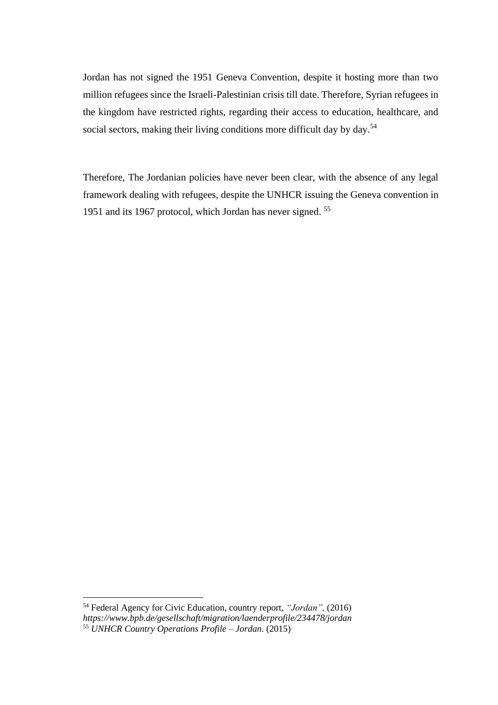Jordan has not signed the 1951 Geneva Convention, despite it hosting more than two million refugees since the Israeli-Palestinian crisis till date. Therefore, Syrian refugees in the kingdom have restricted rights, regarding their access to education, healthcare, and social sectors, making their living conditions more difficult day by day.<sup>54</sup>

Therefore, The Jordanian policies have never been clear, with the absence of any legal framework dealing with refugees, despite the UNHCR issuing the Geneva convention in 1951 and its 1967 protocol, which Jordan has never signed. 55

<sup>54</sup> Federal Agency for Civic Education, country report, *"Jordan",* (2016) *https://www.bpb.de/gesellschaft/migration/laenderprofile/234478/jordan* <sup>55</sup> *UNHCR Country Operations Profile – Jordan*. (2015)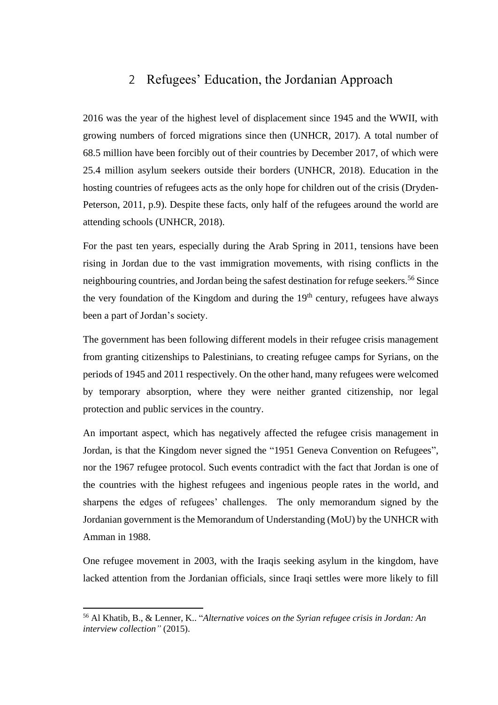# <span id="page-22-0"></span>2 Refugees' Education, the Jordanian Approach

2016 was the year of the highest level of displacement since 1945 and the WWII, with growing numbers of forced migrations since then (UNHCR, 2017). A total number of 68.5 million have been forcibly out of their countries by December 2017, of which were 25.4 million asylum seekers outside their borders (UNHCR, 2018). Education in the hosting countries of refugees acts as the only hope for children out of the crisis (Dryden-Peterson, 2011, p.9). Despite these facts, only half of the refugees around the world are attending schools (UNHCR, 2018).

For the past ten years, especially during the Arab Spring in 2011, tensions have been rising in Jordan due to the vast immigration movements, with rising conflicts in the neighbouring countries, and Jordan being the safest destination for refuge seekers.<sup>56</sup> Since the very foundation of the Kingdom and during the  $19<sup>th</sup>$  century, refugees have always been a part of Jordan's society.

The government has been following different models in their refugee crisis management from granting citizenships to Palestinians, to creating refugee camps for Syrians, on the periods of 1945 and 2011 respectively. On the other hand, many refugees were welcomed by temporary absorption, where they were neither granted citizenship, nor legal protection and public services in the country.

An important aspect, which has negatively affected the refugee crisis management in Jordan, is that the Kingdom never signed the "1951 Geneva Convention on Refugees", nor the 1967 refugee protocol. Such events contradict with the fact that Jordan is one of the countries with the highest refugees and ingenious people rates in the world, and sharpens the edges of refugees' challenges. The only memorandum signed by the Jordanian government is the Memorandum of Understanding (MoU) by the UNHCR with Amman in 1988.

One refugee movement in 2003, with the Iraqis seeking asylum in the kingdom, have lacked attention from the Jordanian officials, since Iraqi settles were more likely to fill

<sup>56</sup> Al Khatib, B., & Lenner, K.. "*Alternative voices on the Syrian refugee crisis in Jordan: An interview collection"* (2015).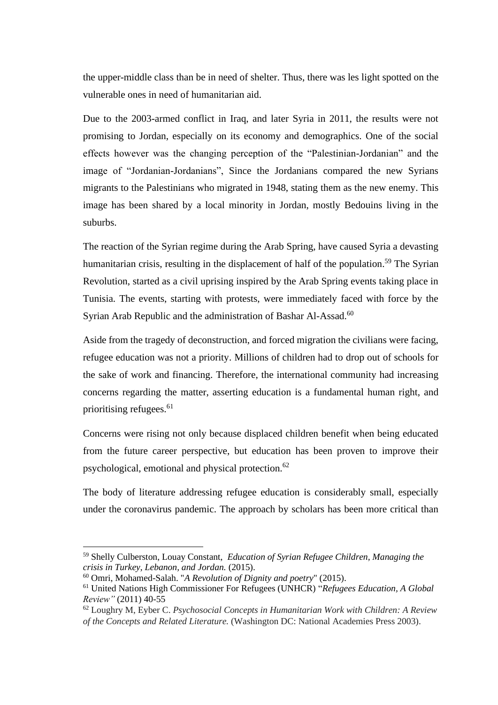the upper-middle class than be in need of shelter. Thus, there was les light spotted on the vulnerable ones in need of humanitarian aid.

Due to the 2003-armed conflict in Iraq, and later Syria in 2011, the results were not promising to Jordan, especially on its economy and demographics. One of the social effects however was the changing perception of the "Palestinian-Jordanian" and the image of "Jordanian-Jordanians", Since the Jordanians compared the new Syrians migrants to the Palestinians who migrated in 1948, stating them as the new enemy. This image has been shared by a local minority in Jordan, mostly Bedouins living in the suburbs.

The reaction of the Syrian regime during the Arab Spring, have caused Syria a devasting humanitarian crisis, resulting in the displacement of half of the population.<sup>59</sup> The Syrian Revolution, started as a civil uprising inspired by the Arab Spring events taking place in Tunisia. The events, starting with protests, were immediately faced with force by the Syrian Arab Republic and the administration of Bashar Al-Assad.<sup>60</sup>

Aside from the tragedy of deconstruction, and forced migration the civilians were facing, refugee education was not a priority. Millions of children had to drop out of schools for the sake of work and financing. Therefore, the international community had increasing concerns regarding the matter, asserting education is a fundamental human right, and prioritising refugees. 61

Concerns were rising not only because displaced children benefit when being educated from the future career perspective, but education has been proven to improve their psychological, emotional and physical protection.<sup>62</sup>

The body of literature addressing refugee education is considerably small, especially under the coronavirus pandemic. The approach by scholars has been more critical than

<sup>59</sup> Shelly Culberston, Louay Constant, *Education of Syrian Refugee Children, Managing the crisis in Turkey, Lebanon, and Jordan.* (2015).

<sup>60</sup> Omri, Mohamed-Salah. "*A Revolution of Dignity and poetry*" (2015).

<sup>61</sup> United Nations High Commissioner For Refugees (UNHCR) "*Refugees Education, A Global Review"* (2011) 40-55

<sup>62</sup> Loughry M, Eyber C. *Psychosocial Concepts in Humanitarian Work with Children: A Review of the Concepts and Related Literature.* (Washington DC: National Academies Press 2003).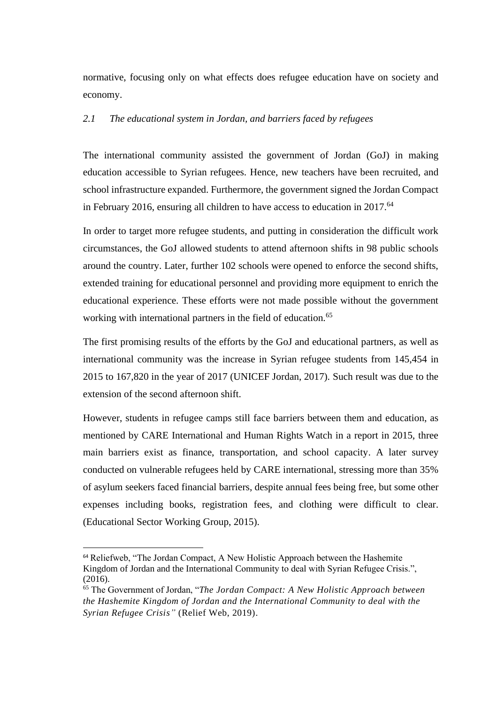normative, focusing only on what effects does refugee education have on society and economy.

### <span id="page-24-0"></span>*2.1 The educational system in Jordan, and barriers faced by refugees*

The international community assisted the government of Jordan (GoJ) in making education accessible to Syrian refugees. Hence, new teachers have been recruited, and school infrastructure expanded. Furthermore, the government signed the Jordan Compact in February 2016, ensuring all children to have access to education in 2017.<sup>64</sup>

In order to target more refugee students, and putting in consideration the difficult work circumstances, the GoJ allowed students to attend afternoon shifts in 98 public schools around the country. Later, further 102 schools were opened to enforce the second shifts, extended training for educational personnel and providing more equipment to enrich the educational experience. These efforts were not made possible without the government working with international partners in the field of education.<sup>65</sup>

The first promising results of the efforts by the GoJ and educational partners, as well as international community was the increase in Syrian refugee students from 145,454 in 2015 to 167,820 in the year of 2017 (UNICEF Jordan, 2017). Such result was due to the extension of the second afternoon shift.

However, students in refugee camps still face barriers between them and education, as mentioned by CARE International and Human Rights Watch in a report in 2015, three main barriers exist as finance, transportation, and school capacity. A later survey conducted on vulnerable refugees held by CARE international, stressing more than 35% of asylum seekers faced financial barriers, despite annual fees being free, but some other expenses including books, registration fees, and clothing were difficult to clear. (Educational Sector Working Group, 2015).

<sup>64</sup> Reliefweb, "The Jordan Compact, A New Holistic Approach between the Hashemite Kingdom of Jordan and the International Community to deal with Syrian Refugee Crisis.", (2016).

<sup>65</sup> The Government of Jordan, "*The Jordan Compact: A New Holistic Approach between the Hashemite Kingdom of Jordan and the International Community to deal with the Syrian Refugee Crisis"* (Relief Web, 2019).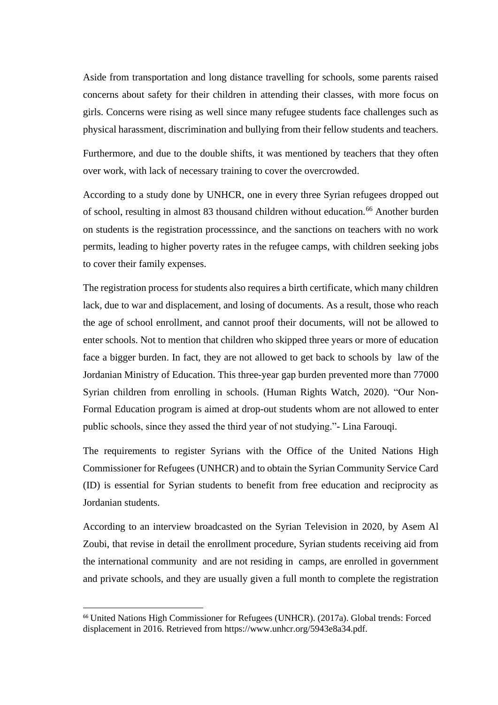Aside from transportation and long distance travelling for schools, some parents raised concerns about safety for their children in attending their classes, with more focus on girls. Concerns were rising as well since many refugee students face challenges such as physical harassment, discrimination and bullying from their fellow students and teachers.

Furthermore, and due to the double shifts, it was mentioned by teachers that they often over work, with lack of necessary training to cover the overcrowded.

According to a study done by UNHCR, one in every three Syrian refugees dropped out of school, resulting in almost 83 thousand children without education.<sup>66</sup> Another burden on students is the registration processsince, and the sanctions on teachers with no work permits, leading to higher poverty rates in the refugee camps, with children seeking jobs to cover their family expenses.

The registration process for students also requires a birth certificate, which many children lack, due to war and displacement, and losing of documents. As a result, those who reach the age of school enrollment, and cannot proof their documents, will not be allowed to enter schools. Not to mention that children who skipped three years or more of education face a bigger burden. In fact, they are not allowed to get back to schools by law of the Jordanian Ministry of Education. This three-year gap burden prevented more than 77000 Syrian children from enrolling in schools. (Human Rights Watch, 2020). "Our Non-Formal Education program is aimed at drop-out students whom are not allowed to enter public schools, since they assed the third year of not studying."- Lina Farouqi.

The requirements to register Syrians with the Office of the United Nations High Commissioner for Refugees (UNHCR) and to obtain the Syrian Community Service Card (ID) is essential for Syrian students to benefit from free education and reciprocity as Jordanian students.

According to an interview broadcasted on the Syrian Television in 2020, by Asem Al Zoubi, that revise in detail the enrollment procedure, Syrian students receiving aid from the international community and are not residing in camps, are enrolled in government and private schools, and they are usually given a full month to complete the registration

<sup>66</sup> United Nations High Commissioner for Refugees (UNHCR). (2017a). Global trends: Forced displacement in 2016. Retrieved from https://www.unhcr.org/5943e8a34.pdf.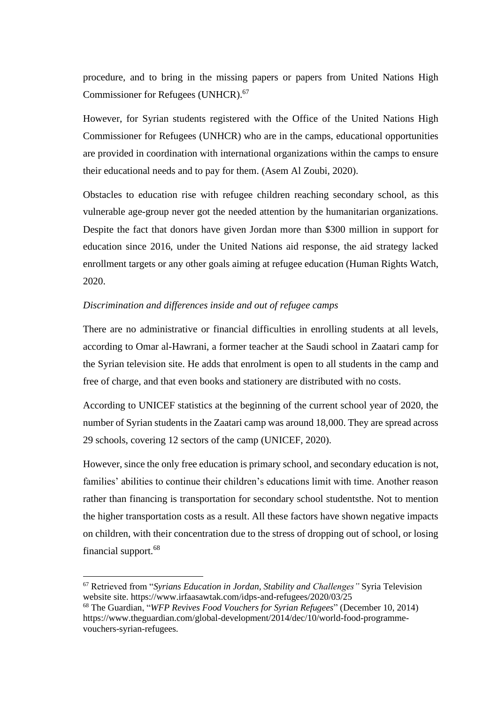procedure, and to bring in the missing papers or papers from United Nations High Commissioner for Refugees (UNHCR). 67

However, for Syrian students registered with the Office of the United Nations High Commissioner for Refugees (UNHCR) who are in the camps, educational opportunities are provided in coordination with international organizations within the camps to ensure their educational needs and to pay for them. (Asem Al Zoubi, 2020).

Obstacles to education rise with refugee children reaching secondary school, as this vulnerable age-group never got the needed attention by the humanitarian organizations. Despite the fact that donors have given Jordan more than \$300 million in support for education since 2016, under the United Nations aid response, the aid strategy lacked enrollment targets or any other goals aiming at refugee education (Human Rights Watch, 2020.

#### *Discrimination and differences inside and out of refugee camps*

There are no administrative or financial difficulties in enrolling students at all levels, according to Omar al-Hawrani, a former teacher at the Saudi school in Zaatari camp for the Syrian television site. He adds that enrolment is open to all students in the camp and free of charge, and that even books and stationery are distributed with no costs.

According to UNICEF statistics at the beginning of the current school year of 2020, the number of Syrian students in the Zaatari camp was around 18,000. They are spread across 29 schools, covering 12 sectors of the camp (UNICEF, 2020).

However, since the only free education is primary school, and secondary education is not, families' abilities to continue their children's educations limit with time. Another reason rather than financing is transportation for secondary school studentsthe. Not to mention the higher transportation costs as a result. All these factors have shown negative impacts on children, with their concentration due to the stress of dropping out of school, or losing financial support.<sup>68</sup>

<sup>67</sup> Retrieved from "*Syrians Education in Jordan, Stability and Challenges"* Syria Television website site. https://www.irfaasawtak.com/idps-and-refugees/2020/03/25

<sup>68</sup> The Guardian, "*WFP Revives Food Vouchers for Syrian Refugees*" (December 10, 2014) https://www.theguardian.com/global-development/2014/dec/10/world-food-programmevouchers-syrian-refugees.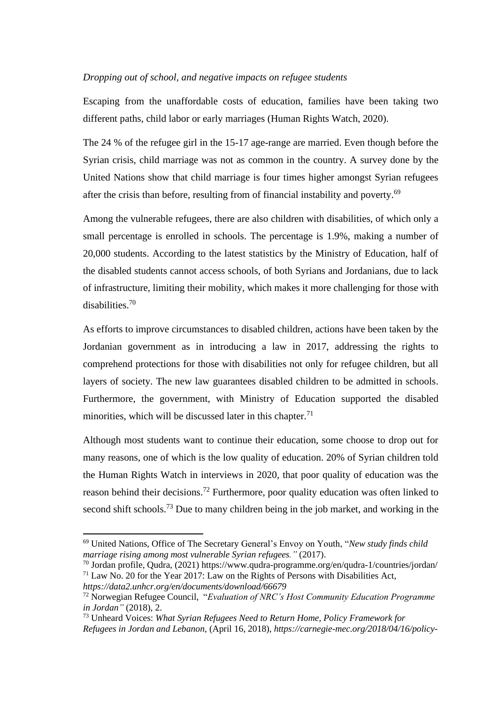#### *Dropping out of school, and negative impacts on refugee students*

Escaping from the unaffordable costs of education, families have been taking two different paths, child labor or early marriages (Human Rights Watch, 2020).

The 24 % of the refugee girl in the 15-17 age-range are married. Even though before the Syrian crisis, child marriage was not as common in the country. A survey done by the United Nations show that child marriage is four times higher amongst Syrian refugees after the crisis than before, resulting from of financial instability and poverty.<sup>69</sup>

Among the vulnerable refugees, there are also children with disabilities, of which only a small percentage is enrolled in schools. The percentage is 1.9%, making a number of 20,000 students. According to the latest statistics by the Ministry of Education, half of the disabled students cannot access schools, of both Syrians and Jordanians, due to lack of infrastructure, limiting their mobility, which makes it more challenging for those with disabilities. 70

As efforts to improve circumstances to disabled children, actions have been taken by the Jordanian government as in introducing a law in 2017, addressing the rights to comprehend protections for those with disabilities not only for refugee children, but all layers of society. The new law guarantees disabled children to be admitted in schools. Furthermore, the government, with Ministry of Education supported the disabled minorities, which will be discussed later in this chapter. $71$ 

Although most students want to continue their education, some choose to drop out for many reasons, one of which is the low quality of education. 20% of Syrian children told the Human Rights Watch in interviews in 2020, that poor quality of education was the reason behind their decisions.<sup>72</sup> Furthermore, poor quality education was often linked to second shift schools.<sup>73</sup> Due to many children being in the job market, and working in the

<sup>69</sup> United Nations, Office of The Secretary General's Envoy on Youth, "*New study finds child marriage rising among most vulnerable Syrian refugees."* (2017).

<sup>70</sup> Jordan profile, Qudra, (2021) https://www.qudra-programme.org/en/qudra-1/countries/jordan/  $71$  Law No. 20 for the Year 2017: Law on the Rights of Persons with Disabilities Act,

*https://data2.unhcr.org/en/documents/download/66679*

<sup>72</sup> Norwegian Refugee Council, "*Evaluation of NRC's Host Community Education Programme in Jordan"* (2018), 2.

<sup>73</sup> Unheard Voices: *What Syrian Refugees Need to Return Home, Policy Framework for* 

*Refugees in Jordan and Lebanon*, (April 16, 2018), *https://carnegie-mec.org/2018/04/16/policy-*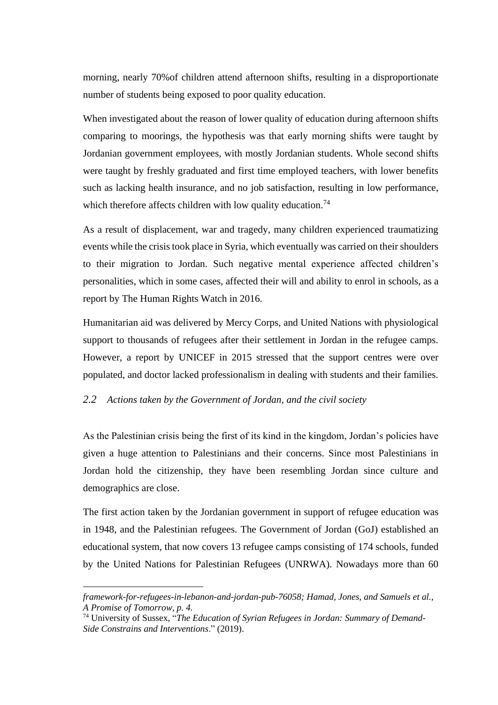morning, nearly 70%of children attend afternoon shifts, resulting in a disproportionate number of students being exposed to poor quality education.

When investigated about the reason of lower quality of education during afternoon shifts comparing to moorings, the hypothesis was that early morning shifts were taught by Jordanian government employees, with mostly Jordanian students. Whole second shifts were taught by freshly graduated and first time employed teachers, with lower benefits such as lacking health insurance, and no job satisfaction, resulting in low performance, which therefore affects children with low quality education.<sup>74</sup>

As a result of displacement, war and tragedy, many children experienced traumatizing events while the crisis took place in Syria, which eventually was carried on their shoulders to their migration to Jordan. Such negative mental experience affected children's personalities, which in some cases, affected their will and ability to enrol in schools, as a report by The Human Rights Watch in 2016.

Humanitarian aid was delivered by Mercy Corps, and United Nations with physiological support to thousands of refugees after their settlement in Jordan in the refugee camps. However, a report by UNICEF in 2015 stressed that the support centres were over populated, and doctor lacked professionalism in dealing with students and their families.

### <span id="page-28-0"></span>*2.2 Actions taken by the Government of Jordan, and the civil society*

As the Palestinian crisis being the first of its kind in the kingdom, Jordan's policies have given a huge attention to Palestinians and their concerns. Since most Palestinians in Jordan hold the citizenship, they have been resembling Jordan since culture and demographics are close.

The first action taken by the Jordanian government in support of refugee education was in 1948, and the Palestinian refugees. The Government of Jordan (GoJ) established an educational system, that now covers 13 refugee camps consisting of 174 schools, funded by the United Nations for Palestinian Refugees (UNRWA). Nowadays more than 60

*framework-for-refugees-in-lebanon-and-jordan-pub-76058; Hamad, Jones, and Samuels et al., A Promise of Tomorrow, p. 4.*

<sup>74</sup> University of Sussex, "*The Education of Syrian Refugees in Jordan: Summary of Demand-Side Constrains and Interventions*." (2019).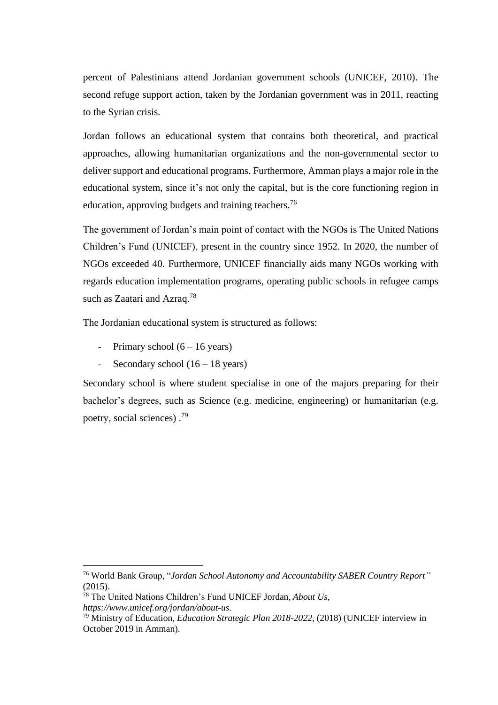percent of Palestinians attend Jordanian government schools (UNICEF, 2010). The second refuge support action, taken by the Jordanian government was in 2011, reacting to the Syrian crisis.

Jordan follows an educational system that contains both theoretical, and practical approaches, allowing humanitarian organizations and the non-governmental sector to deliver support and educational programs. Furthermore, Amman plays a major role in the educational system, since it's not only the capital, but is the core functioning region in education, approving budgets and training teachers.<sup>76</sup>

The government of Jordan's main point of contact with the NGOs is The United Nations Children's Fund (UNICEF), present in the country since 1952. In 2020, the number of NGOs exceeded 40. Furthermore, UNICEF financially aids many NGOs working with regards education implementation programs, operating public schools in refugee camps such as Zaatari and Azraq.<sup>78</sup>

The Jordanian educational system is structured as follows:

- Primary school  $(6 16$  years)
- Secondary school  $(16 18 \text{ years})$

Secondary school is where student specialise in one of the majors preparing for their bachelor's degrees, such as Science (e.g. medicine, engineering) or humanitarian (e.g. poetry, social sciences).<sup>79</sup>

<sup>76</sup> World Bank Group, "*Jordan School Autonomy and Accountability SABER Country Report"* (2015).

<sup>78</sup> The United Nations Children's Fund UNICEF Jordan, *About Us*, *https://www.unicef.org/jordan/about-us.*

<sup>79</sup> Ministry of Education, *Education Strategic Plan 2018-2022*, (2018) (UNICEF interview in October 2019 in Amman).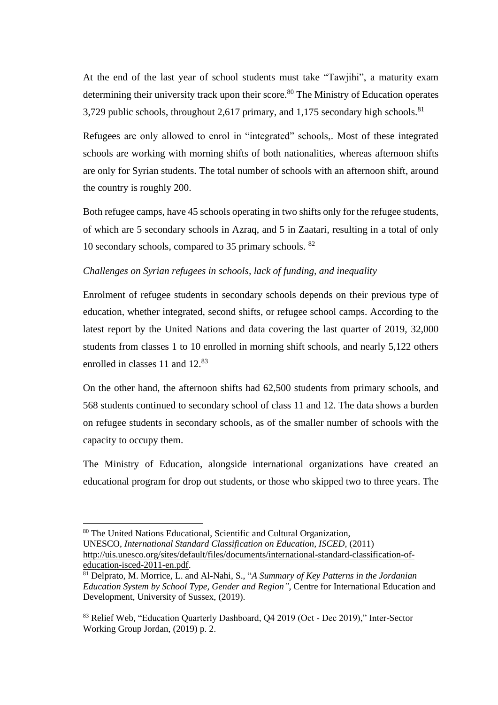At the end of the last year of school students must take "Tawjihi", a maturity exam determining their university track upon their score.<sup>80</sup> The Ministry of Education operates 3,729 public schools, throughout 2,617 primary, and 1,175 secondary high schools. $81$ 

Refugees are only allowed to enrol in "integrated" schools,. Most of these integrated schools are working with morning shifts of both nationalities, whereas afternoon shifts are only for Syrian students. The total number of schools with an afternoon shift, around the country is roughly 200.

Both refugee camps, have 45 schools operating in two shifts only for the refugee students, of which are 5 secondary schools in Azraq, and 5 in Zaatari, resulting in a total of only 10 secondary schools, compared to 35 primary schools. <sup>82</sup>

## *Challenges on Syrian refugees in schools, lack of funding, and inequality*

Enrolment of refugee students in secondary schools depends on their previous type of education, whether integrated, second shifts, or refugee school camps. According to the latest report by the United Nations and data covering the last quarter of 2019, 32,000 students from classes 1 to 10 enrolled in morning shift schools, and nearly 5,122 others enrolled in classes 11 and 12.<sup>83</sup>

On the other hand, the afternoon shifts had 62,500 students from primary schools, and 568 students continued to secondary school of class 11 and 12. The data shows a burden on refugee students in secondary schools, as of the smaller number of schools with the capacity to occupy them.

The Ministry of Education, alongside international organizations have created an educational program for drop out students, or those who skipped two to three years. The

[education-isced-2011-en.pdf.](http://uis.unesco.org/sites/default/files/documents/international-standard-classification-of-education-isced-2011-en.pdf)

<sup>80</sup> The United Nations Educational, Scientific and Cultural Organization,

UNESCO, *International Standard Classification on Education, ISCED*, (2011) [http://uis.unesco.org/sites/default/files/documents/international-standard-classification-of-](http://uis.unesco.org/sites/default/files/documents/international-standard-classification-of-education-isced-2011-en.pdf)

<sup>81</sup> Delprato, M. Morrice, L. and Al-Nahi, S., "*A Summary of Key Patterns in the Jordanian Education System by School Type, Gender and Region",* Centre for International Education and Development, University of Sussex, (2019).

<sup>83</sup> Relief Web, "Education Quarterly Dashboard, Q4 2019 (Oct - Dec 2019)," Inter-Sector Working Group Jordan, (2019) p. 2.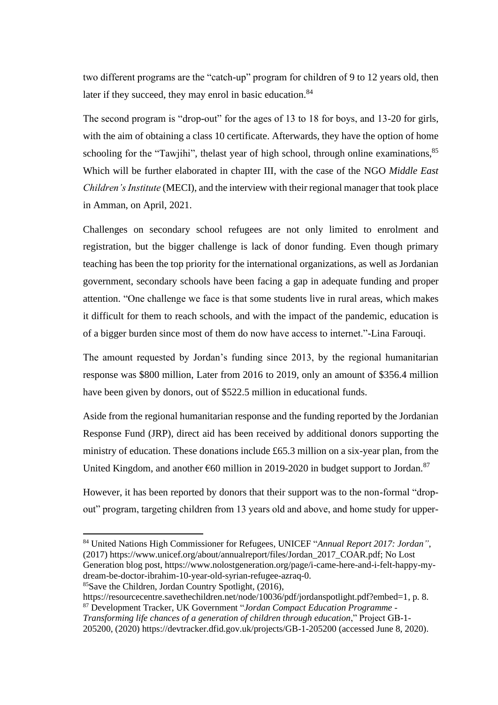two different programs are the "catch-up" program for children of 9 to 12 years old, then later if they succeed, they may enrol in basic education.<sup>84</sup>

The second program is "drop-out" for the ages of 13 to 18 for boys, and 13-20 for girls, with the aim of obtaining a class 10 certificate. Afterwards, they have the option of home schooling for the "Tawjihi", the last year of high school, through online examinations, $85$ Which will be further elaborated in chapter III, with the case of the NGO *Middle East Children's Institute* (MECI), and the interview with their regional manager that took place in Amman, on April, 2021.

Challenges on secondary school refugees are not only limited to enrolment and registration, but the bigger challenge is lack of donor funding. Even though primary teaching has been the top priority for the international organizations, as well as Jordanian government, secondary schools have been facing a gap in adequate funding and proper attention. "One challenge we face is that some students live in rural areas, which makes it difficult for them to reach schools, and with the impact of the pandemic, education is of a bigger burden since most of them do now have access to internet."-Lina Farouqi.

The amount requested by Jordan's funding since 2013, by the regional humanitarian response was \$800 million, Later from 2016 to 2019, only an amount of \$356.4 million have been given by donors, out of \$522.5 million in educational funds.

Aside from the regional humanitarian response and the funding reported by the Jordanian Response Fund (JRP), direct aid has been received by additional donors supporting the ministry of education. These donations include £65.3 million on a six-year plan, from the United Kingdom, and another  $660$  million in 2019-2020 in budget support to Jordan.<sup>87</sup>

However, it has been reported by donors that their support was to the non-formal "dropout" program, targeting children from 13 years old and above, and home study for upper-

<sup>85</sup>Save the Children, Jordan Country Spotlight, (2016),

<sup>84</sup> United Nations High Commissioner for Refugees, UNICEF "*Annual Report 2017: Jordan"*, (2017) https://www.unicef.org/about/annualreport/files/Jordan\_2017\_COAR.pdf; No Lost Generation blog post, https://www.nolostgeneration.org/page/i-came-here-and-i-felt-happy-mydream-be-doctor-ibrahim-10-year-old-syrian-refugee-azraq-0.

https://resourcecentre.savethechildren.net/node/10036/pdf/jordanspotlight.pdf?embed=1, p. 8. <sup>87</sup> Development Tracker, UK Government "*Jordan Compact Education Programme -*

*Transforming life chances of a generation of children through education*," Project GB-1- 205200, (2020) https://devtracker.dfid.gov.uk/projects/GB-1-205200 (accessed June 8, 2020).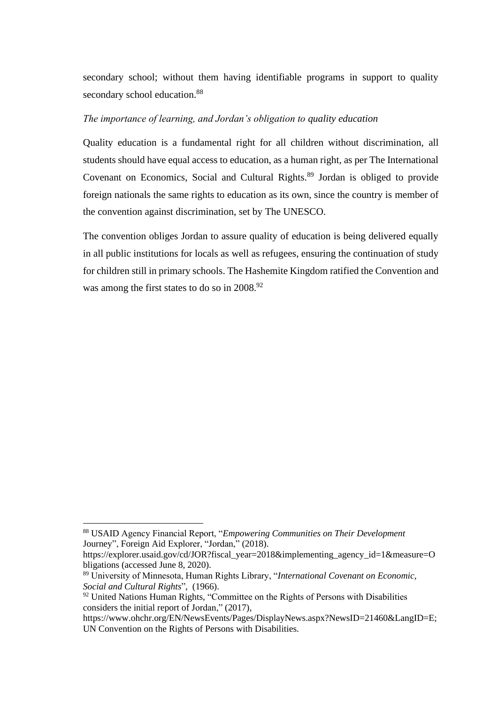secondary school; without them having identifiable programs in support to quality secondary school education.<sup>88</sup>

### *The importance of learning, and Jordan's obligation to quality education*

Quality education is a fundamental right for all children without discrimination, all students should have equal access to education, as a human right, as per The International Covenant on Economics, Social and Cultural Rights.<sup>89</sup> Jordan is obliged to provide foreign nationals the same rights to education as its own, since the country is member of the convention against discrimination, set by The UNESCO.

The convention obliges Jordan to assure quality of education is being delivered equally in all public institutions for locals as well as refugees, ensuring the continuation of study for children still in primary schools. The Hashemite Kingdom ratified the Convention and was among the first states to do so in 2008.<sup>92</sup>

<sup>88</sup> USAID Agency Financial Report, "*Empowering Communities on Their Development*  Journey", Foreign Aid Explorer, "Jordan," (2018).

https://explorer.usaid.gov/cd/JOR?fiscal\_year=2018&implementing\_agency\_id=1&measure=O bligations (accessed June 8, 2020).

<sup>89</sup> University of Minnesota, Human Rights Library, "*International Covenant on Economic, Social and Cultural Rights*", (1966).

<sup>&</sup>lt;sup>92</sup> United Nations Human Rights, "Committee on the Rights of Persons with Disabilities considers the initial report of Jordan," (2017),

https://www.ohchr.org/EN/NewsEvents/Pages/DisplayNews.aspx?NewsID=21460&LangID=E; UN Convention on the Rights of Persons with Disabilities.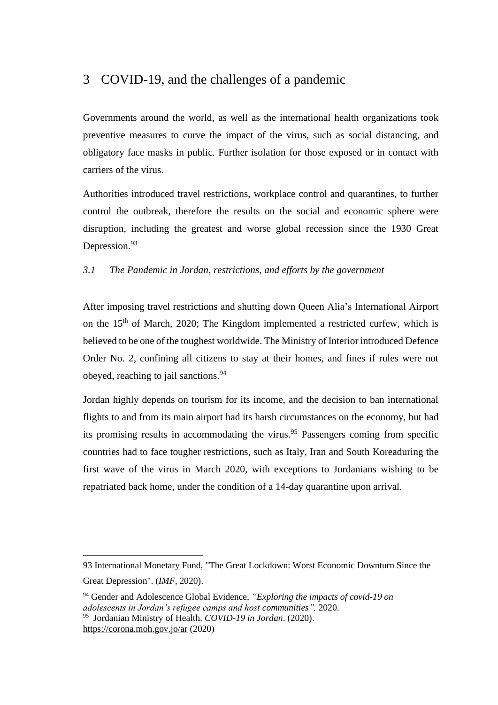# <span id="page-33-0"></span>3 COVID-19, and the challenges of a pandemic

Governments around the world, as well as the international health organizations took preventive measures to curve the impact of the virus, such as social distancing, and obligatory face masks in public. Further isolation for those exposed or in contact with carriers of the virus.

Authorities introduced travel restrictions, workplace control and quarantines, to further control the outbreak, therefore the results on the social and economic sphere were disruption, including the greatest and worse global recession since the 1930 Great Depression.<sup>93</sup>

## <span id="page-33-1"></span>*3.1 The Pandemic in Jordan, restrictions, and efforts by the government*

After imposing travel restrictions and shutting down Queen Alia's International Airport on the  $15<sup>th</sup>$  of March, 2020; The Kingdom implemented a restricted curfew, which is believed to be one of the toughest worldwide. The Ministry of Interior introduced Defence Order No. 2, confining all citizens to stay at their homes, and fines if rules were not obeyed, reaching to jail sanctions.<sup>94</sup>

Jordan highly depends on tourism for its income, and the decision to ban international flights to and from its main airport had its harsh circumstances on the economy, but had its promising results in accommodating the virus. <sup>95</sup> Passengers coming from specific countries had to face tougher restrictions, such as Italy, Iran and South Koreaduring the first wave of the virus in March 2020, with exceptions to Jordanians wishing to be repatriated back home, under the condition of a 14-day quarantine upon arrival.

<sup>93</sup> International Monetary Fund, ["The Great Lockdown: Worst Economic Downturn Since the](https://blogs.imf.org/2020/04/14/the-great-lockdown-worst-economic-downturn-since-the-great-depression/) 

[Great Depression".](https://blogs.imf.org/2020/04/14/the-great-lockdown-worst-economic-downturn-since-the-great-depression/) (*IMF,* 2020).

<sup>94</sup> Gender and Adolescence Global Evidence, *"Exploring the impacts of covid-19 on adolescents in Jordan's refugee camps and host communities",* 2020. <sup>95</sup> Jordanian Ministry of Health. *COVID-19 in Jordan*. (2020). <https://corona.moh.gov.jo/ar> (2020)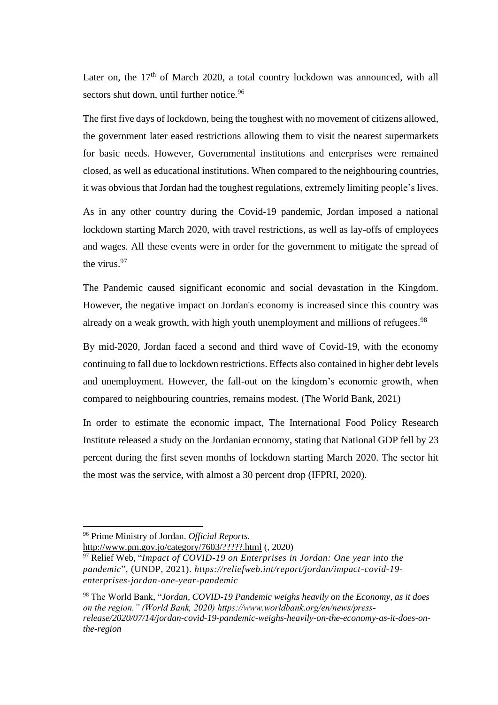Later on, the  $17<sup>th</sup>$  of March 2020, a total country lockdown was announced, with all sectors shut down, until further notice.<sup>96</sup>

The first five days of lockdown, being the toughest with no movement of citizens allowed, the government later eased restrictions allowing them to visit the nearest supermarkets for basic needs. However, Governmental institutions and enterprises were remained closed, as well as educational institutions. When compared to the neighbouring countries, it was obvious that Jordan had the toughest regulations, extremely limiting people's lives.

As in any other country during the Covid-19 pandemic, Jordan imposed a national lockdown starting March 2020, with travel restrictions, as well as lay-offs of employees and wages. All these events were in order for the government to mitigate the spread of the virus.<sup>97</sup>

The Pandemic caused significant economic and social devastation in the Kingdom. However, the negative impact on Jordan's economy is increased since this country was already on a weak growth, with high youth unemployment and millions of refugees.<sup>98</sup>

By mid-2020, Jordan faced a second and third wave of Covid-19, with the economy continuing to fall due to lockdown restrictions. Effects also contained in higher debt levels and unemployment. However, the fall-out on the kingdom's economic growth, when compared to neighbouring countries, remains modest. (The World Bank, 2021)

In order to estimate the economic impact, The International Food Policy Research Institute released a study on the Jordanian economy, stating that National GDP fell by 23 percent during the first seven months of lockdown starting March 2020. The sector hit the most was the service, with almost a 30 percent drop (IFPRI, 2020).

<http://www.pm.gov.jo/category/7603/?????.html> (, 2020)

<sup>96</sup> Prime Ministry of Jordan. *Official Reports*.

<sup>&</sup>lt;sup>97</sup> Relief Web, "*Impact of COVID-19 on Enterprises in Jordan: One year into the pandemic*", (UNDP, 2021). *https://reliefweb.int/report/jordan/impact-covid-19 enterprises-jordan-one-year-pandemic*

<sup>98</sup> The World Bank, "*Jordan, COVID-19 Pandemic weighs heavily on the Economy, as it does on the region." (World Bank, 2020) https://www.worldbank.org/en/news/pressrelease/2020/07/14/jordan-covid-19-pandemic-weighs-heavily-on-the-economy-as-it-does-onthe-region*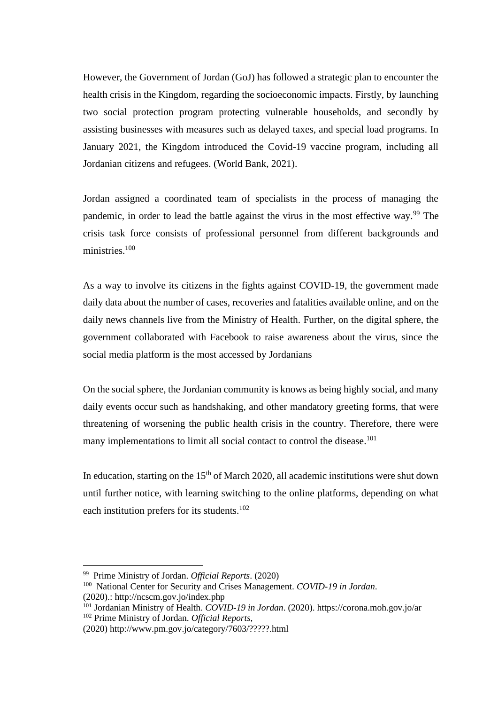However, the Government of Jordan (GoJ) has followed a strategic plan to encounter the health crisis in the Kingdom, regarding the socioeconomic impacts. Firstly, by launching two social protection program protecting vulnerable households, and secondly by assisting businesses with measures such as delayed taxes, and special load programs. In January 2021, the Kingdom introduced the Covid-19 vaccine program, including all Jordanian citizens and refugees. (World Bank, 2021).

Jordan assigned a coordinated team of specialists in the process of managing the pandemic, in order to lead the battle against the virus in the most effective way.<sup>99</sup> The crisis task force consists of professional personnel from different backgrounds and ministries.<sup>100</sup>

As a way to involve its citizens in the fights against COVID-19, the government made daily data about the number of cases, recoveries and fatalities available online, and on the daily news channels live from the Ministry of Health. Further, on the digital sphere, the government collaborated with Facebook to raise awareness about the virus, since the social media platform is the most accessed by Jordanians

On the social sphere, the Jordanian community is knows as being highly social, and many daily events occur such as handshaking, and other mandatory greeting forms, that were threatening of worsening the public health crisis in the country. Therefore, there were many implementations to limit all social contact to control the disease.<sup>101</sup>

In education, starting on the  $15<sup>th</sup>$  of March 2020, all academic institutions were shut down until further notice, with learning switching to the online platforms, depending on what each institution prefers for its students.<sup>102</sup>

<sup>99</sup> Prime Ministry of Jordan. *Official Reports*. (2020)

<sup>100</sup> National Center for Security and Crises Management. *COVID-19 in Jordan*. (2020).: <http://ncscm.gov.jo/index.php>

<sup>101</sup> Jordanian Ministry of Health. *COVID-19 in Jordan*. (2020).<https://corona.moh.gov.jo/ar> <sup>102</sup> Prime Ministry of Jordan. *Official Reports*,

<sup>(2020)</sup> <http://www.pm.gov.jo/category/7603/?????.html>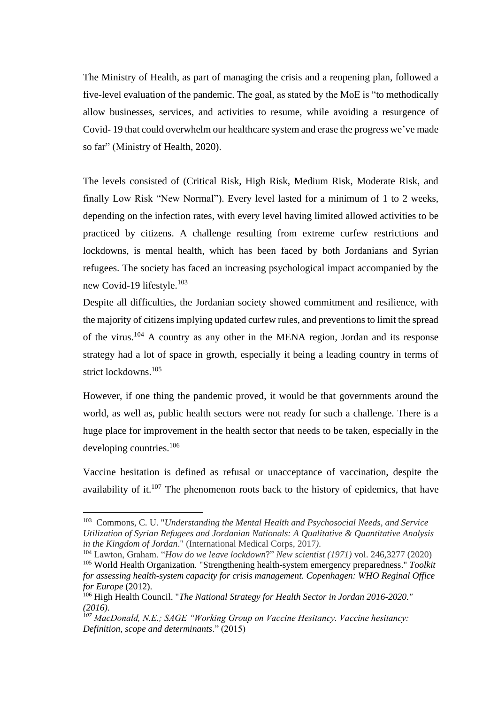The Ministry of Health, as part of managing the crisis and a reopening plan, followed a five-level evaluation of the pandemic. The goal, as stated by the MoE is "to methodically allow businesses, services, and activities to resume, while avoiding a resurgence of Covid- 19 that could overwhelm our healthcare system and erase the progress we've made so far" (Ministry of Health, 2020).

The levels consisted of (Critical Risk, High Risk, Medium Risk, Moderate Risk, and finally Low Risk "New Normal"). Every level lasted for a minimum of 1 to 2 weeks, depending on the infection rates, with every level having limited allowed activities to be practiced by citizens. A challenge resulting from extreme curfew restrictions and lockdowns, is mental health, which has been faced by both Jordanians and Syrian refugees. The society has faced an increasing psychological impact accompanied by the new Covid-19 lifestyle.<sup>103</sup>

Despite all difficulties, the Jordanian society showed commitment and resilience, with the majority of citizens implying updated curfew rules, and preventions to limit the spread of the virus.<sup>104</sup> A country as any other in the MENA region, Jordan and its response strategy had a lot of space in growth, especially it being a leading country in terms of strict lockdowns.<sup>105</sup>

However, if one thing the pandemic proved, it would be that governments around the world, as well as, public health sectors were not ready for such a challenge. There is a huge place for improvement in the health sector that needs to be taken, especially in the developing countries.<sup>106</sup>

Vaccine hesitation is defined as refusal or unacceptance of vaccination, despite the availability of it.<sup>107</sup> The phenomenon roots back to the history of epidemics, that have

<sup>103</sup> Commons, C. U. "*Understanding the Mental Health and Psychosocial Needs, and Service Utilization of Syrian Refugees and Jordanian Nationals: A Qualitative & Quantitative Analysis in the Kingdom of Jordan*." (International Medical Corps, 2017*).*

<sup>104</sup> Lawton, Graham. "*How do we leave lockdown*?" *New scientist (1971)* vol. 246,3277 (2020)

<sup>105</sup> World Health Organization. "Strengthening health-system emergency preparedness." *Toolkit for assessing health-system capacity for crisis management. Copenhagen: WHO Reginal Office for Europe* (2012).

<sup>106</sup> High Health Council. "*The National Strategy for Health Sector in Jordan 2016-2020." (2016).*

*<sup>107</sup> MacDonald, N.E.; SAGE "Working Group on Vaccine Hesitancy. Vaccine hesitancy: Definition, scope and determinants*." (2015)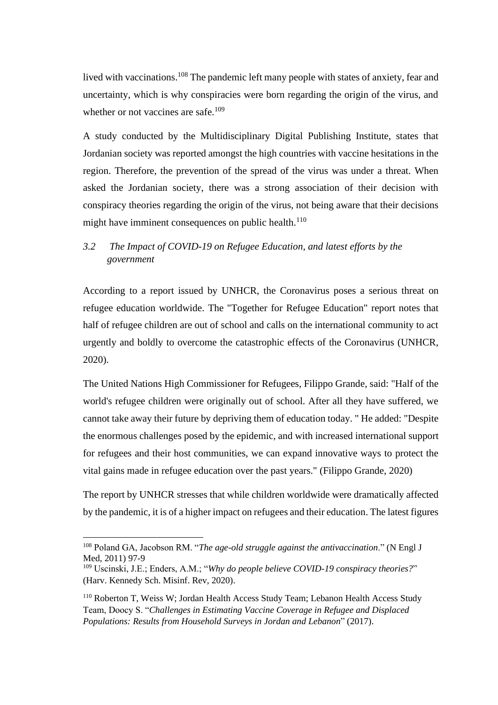lived with vaccinations.<sup>108</sup> The pandemic left many people with states of anxiety, fear and uncertainty, which is why conspiracies were born regarding the origin of the virus, and whether or not vaccines are safe.<sup>109</sup>

A study conducted by the Multidisciplinary Digital Publishing Institute, states that Jordanian society was reported amongst the high countries with vaccine hesitations in the region. Therefore, the prevention of the spread of the virus was under a threat. When asked the Jordanian society, there was a strong association of their decision with conspiracy theories regarding the origin of the virus, not being aware that their decisions might have imminent consequences on public health. $110$ 

## <span id="page-37-0"></span>*3.2 The Impact of COVID-19 on Refugee Education, and latest efforts by the government*

According to a report issued by UNHCR, the Coronavirus poses a serious threat on refugee education worldwide. The "Together for Refugee Education" report notes that half of refugee children are out of school and calls on the international community to act urgently and boldly to overcome the catastrophic effects of the Coronavirus (UNHCR, 2020).

The United Nations High Commissioner for Refugees, Filippo Grande, said: "Half of the world's refugee children were originally out of school. After all they have suffered, we cannot take away their future by depriving them of education today. " He added: "Despite the enormous challenges posed by the epidemic, and with increased international support for refugees and their host communities, we can expand innovative ways to protect the vital gains made in refugee education over the past years." (Filippo Grande, 2020)

The report by UNHCR stresses that while children worldwide were dramatically affected by the pandemic, it is of a higher impact on refugees and their education. The latest figures

<sup>108</sup> Poland GA, Jacobson RM. "*The age-old struggle against the antivaccination*." (N Engl J Med, 2011) 97-9

<sup>109</sup> Uscinski, J.E.; Enders, A.M.; "*Why do people believe COVID-19 conspiracy theories?*" (Harv. Kennedy Sch. Misinf. Rev, 2020).

<sup>110</sup> Roberton T, Weiss W; Jordan Health Access Study Team; Lebanon Health Access Study Team, Doocy S. "*Challenges in Estimating Vaccine Coverage in Refugee and Displaced Populations: Results from Household Surveys in Jordan and Lebanon*" (2017).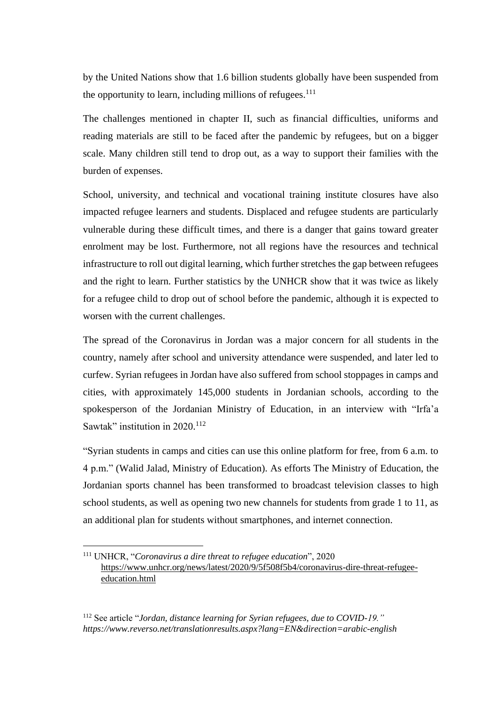by the United Nations show that 1.6 billion students globally have been suspended from the opportunity to learn, including millions of refugees.<sup>111</sup>

The challenges mentioned in chapter II, such as financial difficulties, uniforms and reading materials are still to be faced after the pandemic by refugees, but on a bigger scale. Many children still tend to drop out, as a way to support their families with the burden of expenses.

School, university, and technical and vocational training institute closures have also impacted refugee learners and students. Displaced and refugee students are particularly vulnerable during these difficult times, and there is a danger that gains toward greater enrolment may be lost. Furthermore, not all regions have the resources and technical infrastructure to roll out digital learning, which further stretches the gap between refugees and the right to learn. Further statistics by the UNHCR show that it was twice as likely for a refugee child to drop out of school before the pandemic, although it is expected to worsen with the current challenges.

The spread of the Coronavirus in Jordan was a major concern for all students in the country, namely after school and university attendance were suspended, and later led to curfew. Syrian refugees in Jordan have also suffered from school stoppages in camps and cities, with approximately 145,000 students in Jordanian schools, according to the spokesperson of the Jordanian Ministry of Education, in an interview with "Irfa'a Sawtak" institution in 2020.<sup>112</sup>

"Syrian students in camps and cities can use this online platform for free, from 6 a.m. to 4 p.m." (Walid Jalad, Ministry of Education). As efforts The Ministry of Education, the Jordanian sports channel has been transformed to broadcast television classes to high school students, as well as opening two new channels for students from grade 1 to 11, as an additional plan for students without smartphones, and internet connection.

<sup>111</sup> UNHCR, "*Coronavirus a dire threat to refugee education*", 2020 [https://www.unhcr.org/news/latest/2020/9/5f508f5b4/coronavirus-dire-threat-refugee](https://www.unhcr.org/news/latest/2020/9/5f508f5b4/coronavirus-dire-threat-refugee-education.html)[education.html](https://www.unhcr.org/news/latest/2020/9/5f508f5b4/coronavirus-dire-threat-refugee-education.html)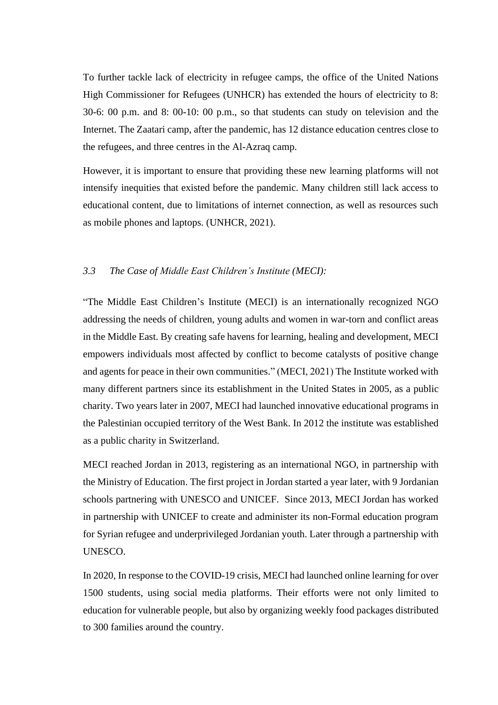To further tackle lack of electricity in refugee camps, the office of the United Nations High Commissioner for Refugees (UNHCR) has extended the hours of electricity to 8: 30-6: 00 p.m. and 8: 00-10: 00 p.m., so that students can study on television and the Internet. The Zaatari camp, after the pandemic, has 12 distance education centres close to the refugees, and three centres in the Al-Azraq camp.

However, it is important to ensure that providing these new learning platforms will not intensify inequities that existed before the pandemic. Many children still lack access to educational content, due to limitations of internet connection, as well as resources such as mobile phones and laptops. (UNHCR, 2021).

### <span id="page-39-0"></span>*3.3 The Case of Middle East Children's Institute (MECI):*

"The Middle East Children's Institute (MECI) is an internationally recognized NGO addressing the needs of children, young adults and women in war-torn and conflict areas in the Middle East. By creating safe havens for learning, healing and development, MECI empowers individuals most affected by conflict to become catalysts of positive change and agents for peace in their own communities." (MECI, 2021) The Institute worked with many different partners since its establishment in the United States in 2005, as a public charity. Two years later in 2007, MECI had launched innovative educational programs in the Palestinian occupied territory of the West Bank. In 2012 the institute was established as a public charity in Switzerland.

MECI reached Jordan in 2013, registering as an international NGO, in partnership with the Ministry of Education. The first project in Jordan started a year later, with 9 Jordanian schools partnering with UNESCO and UNICEF. Since 2013, MECI Jordan has worked in partnership with UNICEF to create and administer its non-Formal education program for Syrian refugee and underprivileged Jordanian youth. Later through a partnership with UNESCO.

In 2020, In response to the COVID-19 crisis, MECI had launched online learning for over 1500 students, using social media platforms. Their efforts were not only limited to education for vulnerable people, but also by organizing weekly food packages distributed to 300 families around the country.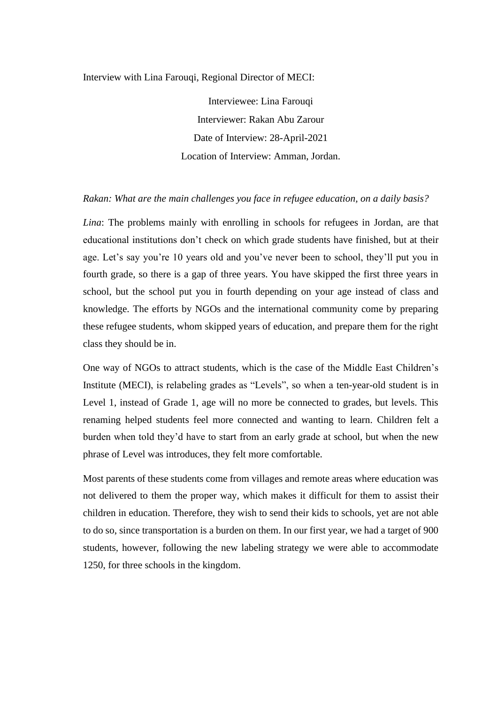Interview with Lina Farouqi, Regional Director of MECI:

Interviewee: Lina Farouqi Interviewer: Rakan Abu Zarour Date of Interview: 28-April-2021 Location of Interview: Amman, Jordan.

#### *Rakan: What are the main challenges you face in refugee education, on a daily basis?*

*Lina*: The problems mainly with enrolling in schools for refugees in Jordan, are that educational institutions don't check on which grade students have finished, but at their age. Let's say you're 10 years old and you've never been to school, they'll put you in fourth grade, so there is a gap of three years. You have skipped the first three years in school, but the school put you in fourth depending on your age instead of class and knowledge. The efforts by NGOs and the international community come by preparing these refugee students, whom skipped years of education, and prepare them for the right class they should be in.

One way of NGOs to attract students, which is the case of the Middle East Children's Institute (MECI), is relabeling grades as "Levels", so when a ten-year-old student is in Level 1, instead of Grade 1, age will no more be connected to grades, but levels. This renaming helped students feel more connected and wanting to learn. Children felt a burden when told they'd have to start from an early grade at school, but when the new phrase of Level was introduces, they felt more comfortable.

Most parents of these students come from villages and remote areas where education was not delivered to them the proper way, which makes it difficult for them to assist their children in education. Therefore, they wish to send their kids to schools, yet are not able to do so, since transportation is a burden on them. In our first year, we had a target of 900 students, however, following the new labeling strategy we were able to accommodate 1250, for three schools in the kingdom.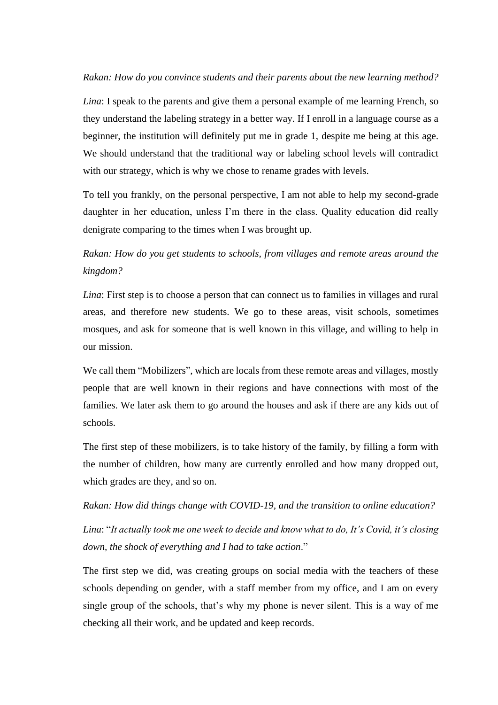#### *Rakan: How do you convince students and their parents about the new learning method?*

*Lina*: I speak to the parents and give them a personal example of me learning French, so they understand the labeling strategy in a better way. If I enroll in a language course as a beginner, the institution will definitely put me in grade 1, despite me being at this age. We should understand that the traditional way or labeling school levels will contradict with our strategy, which is why we chose to rename grades with levels.

To tell you frankly, on the personal perspective, I am not able to help my second-grade daughter in her education, unless I'm there in the class. Quality education did really denigrate comparing to the times when I was brought up.

*Rakan: How do you get students to schools, from villages and remote areas around the kingdom?*

*Lina*: First step is to choose a person that can connect us to families in villages and rural areas, and therefore new students. We go to these areas, visit schools, sometimes mosques, and ask for someone that is well known in this village, and willing to help in our mission.

We call them "Mobilizers", which are locals from these remote areas and villages, mostly people that are well known in their regions and have connections with most of the families. We later ask them to go around the houses and ask if there are any kids out of schools.

The first step of these mobilizers, is to take history of the family, by filling a form with the number of children, how many are currently enrolled and how many dropped out, which grades are they, and so on.

*Rakan: How did things change with COVID-19, and the transition to online education?*

*Lina*: "*It actually took me one week to decide and know what to do, It's Covid, it's closing down, the shock of everything and I had to take action*."

The first step we did, was creating groups on social media with the teachers of these schools depending on gender, with a staff member from my office, and I am on every single group of the schools, that's why my phone is never silent. This is a way of me checking all their work, and be updated and keep records.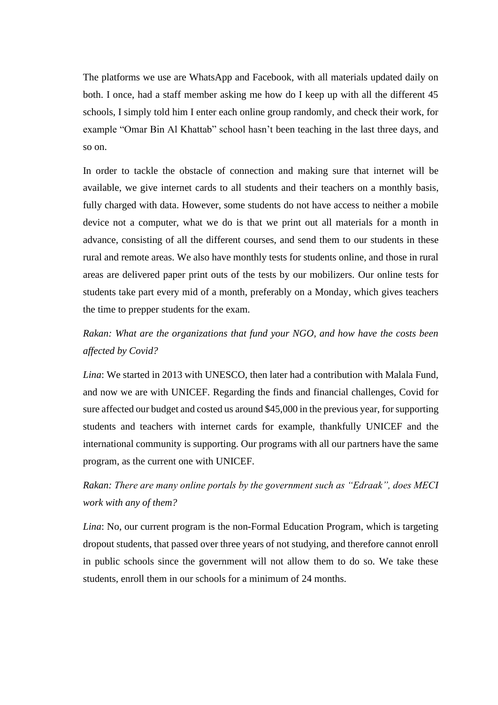The platforms we use are WhatsApp and Facebook, with all materials updated daily on both. I once, had a staff member asking me how do I keep up with all the different 45 schools, I simply told him I enter each online group randomly, and check their work, for example "Omar Bin Al Khattab" school hasn't been teaching in the last three days, and so on.

In order to tackle the obstacle of connection and making sure that internet will be available, we give internet cards to all students and their teachers on a monthly basis, fully charged with data. However, some students do not have access to neither a mobile device not a computer, what we do is that we print out all materials for a month in advance, consisting of all the different courses, and send them to our students in these rural and remote areas. We also have monthly tests for students online, and those in rural areas are delivered paper print outs of the tests by our mobilizers. Our online tests for students take part every mid of a month, preferably on a Monday, which gives teachers the time to prepper students for the exam.

## *Rakan: What are the organizations that fund your NGO, and how have the costs been affected by Covid?*

*Lina*: We started in 2013 with UNESCO, then later had a contribution with Malala Fund, and now we are with UNICEF. Regarding the finds and financial challenges, Covid for sure affected our budget and costed us around \$45,000 in the previous year, for supporting students and teachers with internet cards for example, thankfully UNICEF and the international community is supporting. Our programs with all our partners have the same program, as the current one with UNICEF.

# *Rakan: There are many online portals by the government such as "Edraak", does MECI work with any of them?*

*Lina*: No, our current program is the non-Formal Education Program, which is targeting dropout students, that passed over three years of not studying, and therefore cannot enroll in public schools since the government will not allow them to do so. We take these students, enroll them in our schools for a minimum of 24 months.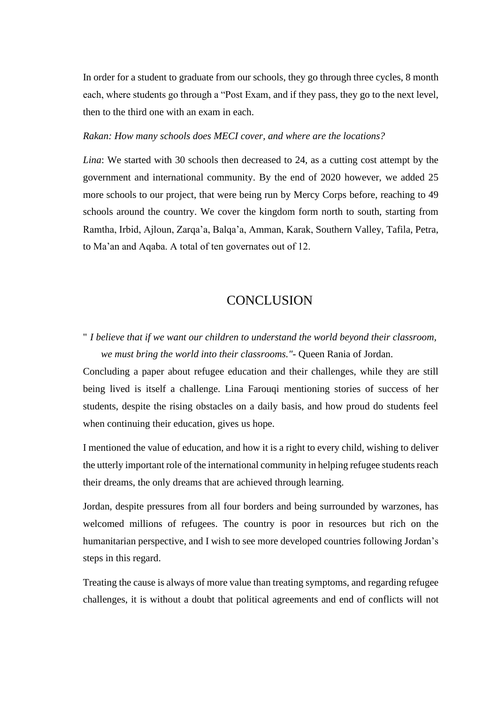In order for a student to graduate from our schools, they go through three cycles, 8 month each, where students go through a "Post Exam, and if they pass, they go to the next level, then to the third one with an exam in each.

#### *Rakan: How many schools does MECI cover, and where are the locations?*

*Lina*: We started with 30 schools then decreased to 24, as a cutting cost attempt by the government and international community. By the end of 2020 however, we added 25 more schools to our project, that were being run by Mercy Corps before, reaching to 49 schools around the country. We cover the kingdom form north to south, starting from Ramtha, Irbid, Ajloun, Zarqa'a, Balqa'a, Amman, Karak, Southern Valley, Tafila, Petra, to Ma'an and Aqaba. A total of ten governates out of 12.

## **CONCLUSION**

# <span id="page-43-0"></span>" *I believe that if we want our children to understand the world beyond their classroom, we must bring the world into their classrooms."-* Queen Rania of Jordan.

Concluding a paper about refugee education and their challenges, while they are still being lived is itself a challenge. Lina Farouqi mentioning stories of success of her students, despite the rising obstacles on a daily basis, and how proud do students feel when continuing their education, gives us hope.

I mentioned the value of education, and how it is a right to every child, wishing to deliver the utterly important role of the international community in helping refugee students reach their dreams, the only dreams that are achieved through learning.

Jordan, despite pressures from all four borders and being surrounded by warzones, has welcomed millions of refugees. The country is poor in resources but rich on the humanitarian perspective, and I wish to see more developed countries following Jordan's steps in this regard.

Treating the cause is always of more value than treating symptoms, and regarding refugee challenges, it is without a doubt that political agreements and end of conflicts will not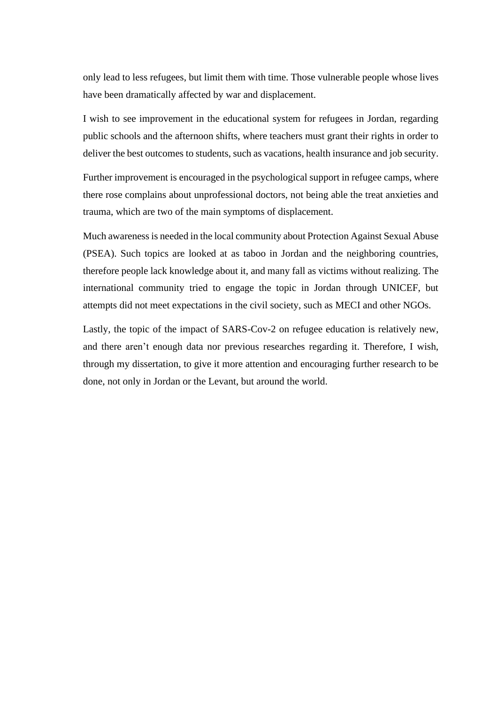only lead to less refugees, but limit them with time. Those vulnerable people whose lives have been dramatically affected by war and displacement.

I wish to see improvement in the educational system for refugees in Jordan, regarding public schools and the afternoon shifts, where teachers must grant their rights in order to deliver the best outcomes to students, such as vacations, health insurance and job security.

Further improvement is encouraged in the psychological support in refugee camps, where there rose complains about unprofessional doctors, not being able the treat anxieties and trauma, which are two of the main symptoms of displacement.

Much awareness is needed in the local community about Protection Against Sexual Abuse (PSEA). Such topics are looked at as taboo in Jordan and the neighboring countries, therefore people lack knowledge about it, and many fall as victims without realizing. The international community tried to engage the topic in Jordan through UNICEF, but attempts did not meet expectations in the civil society, such as MECI and other NGOs.

Lastly, the topic of the impact of SARS-Cov-2 on refugee education is relatively new, and there aren't enough data nor previous researches regarding it. Therefore, I wish, through my dissertation, to give it more attention and encouraging further research to be done, not only in Jordan or the Levant, but around the world.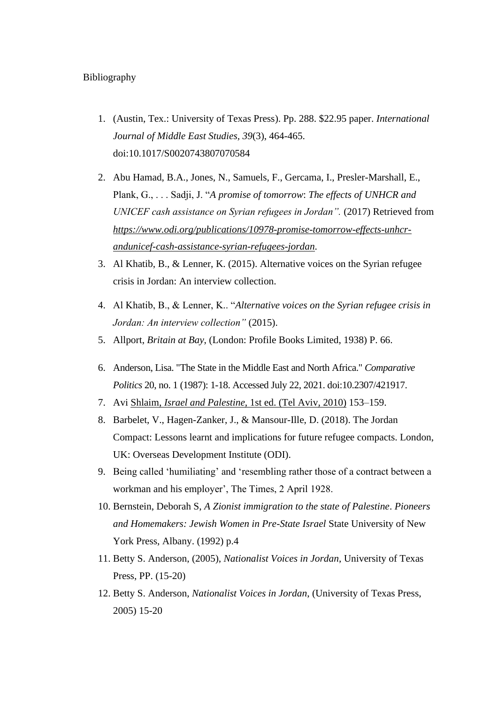#### Bibliography

- 1. (Austin, Tex.: University of Texas Press). Pp. 288. \$22.95 paper. *International Journal of Middle East Studies, 39*(3), 464-465. doi:10.1017/S0020743807070584
- 2. Abu Hamad, B.A., Jones, N., Samuels, F., Gercama, I., Presler-Marshall, E., Plank, G., . . . Sadji, J. "*A promise of tomorrow*: *The effects of UNHCR and UNICEF cash assistance on Syrian refugees in Jordan".* (2017) Retrieved from *[https://www.odi.org/publications/10978-promise-tomorrow-effects-unhcr](https://www.odi.org/publications/10978-promise-tomorrow-effects-unhcr-andunicef-cash-assistance-syrian-refugees-jordan)[andunicef-cash-assistance-syrian-refugees-jordan.](https://www.odi.org/publications/10978-promise-tomorrow-effects-unhcr-andunicef-cash-assistance-syrian-refugees-jordan)*
- 3. Al Khatib, B., & Lenner, K. (2015). Alternative voices on the Syrian refugee crisis in Jordan: An interview collection.
- 4. Al Khatib, B., & Lenner, K.. "*Alternative voices on the Syrian refugee crisis in Jordan: An interview collection"* (2015).
- 5. Allport, *Britain at Bay*, (London: Profile Books Limited, 1938) P. 66.
- 6. Anderson, Lisa. "The State in the Middle East and North Africa." *Comparative Politics* 20, no. 1 (1987): 1-18. Accessed July 22, 2021. doi:10.2307/421917.
- 7. Avi Shlaim, *Israel and Palestine*[, 1st ed. \(Tel Aviv, 2010\)](https://en.wikipedia.org/wiki/Hussein_of_Jordan#CITEREFShlaim2009) 153–159.
- 8. Barbelet, V., Hagen-Zanker, J., & Mansour-Ille, D. (2018). The Jordan Compact: Lessons learnt and implications for future refugee compacts. London, UK: Overseas Development Institute (ODI).
- 9. Being called 'humiliating' and 'resembling rather those of a contract between a workman and his employer', The Times, 2 April 1928.
- 10. Bernstein, Deborah S, *A Zionist immigration to the state of Palestine*. *Pioneers and Homemakers: Jewish Women in Pre-State Israel* State University of New York Press, Albany. (1992) p.4
- 11. Betty S. Anderson, (2005), *Nationalist Voices in Jordan*, University of Texas Press, PP. (15-20)
- 12. Betty S. Anderson, *Nationalist Voices in Jordan*, (University of Texas Press, 2005) 15-20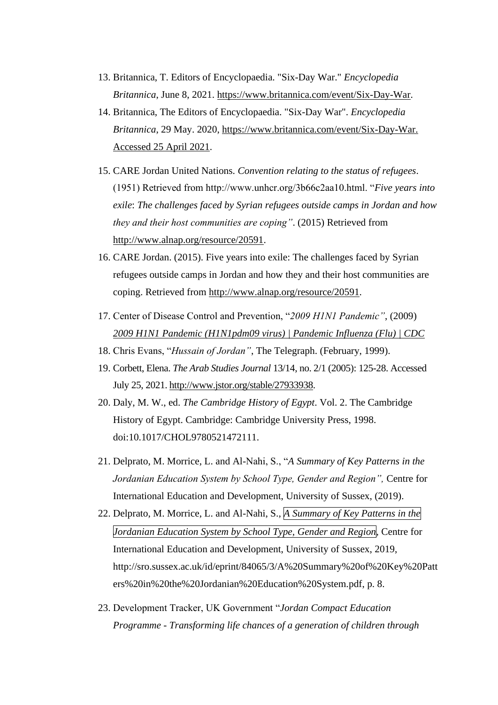- 13. Britannica, T. Editors of Encyclopaedia. "Six-Day War." *Encyclopedia Britannica*, June 8, 2021. [https://www.britannica.com/event/Six-Day-War.](https://www.britannica.com/event/Six-Day-War)
- 14. Britannica, The Editors of Encyclopaedia. "Six-Day War". *Encyclopedia Britannica*, 29 May. 2020, [https://www.britannica.com/event/Six-Day-War.](https://www.britannica.com/event/Six-Day-War.%20Accessed%2025%20April%202021)  [Accessed 25 April 2021.](https://www.britannica.com/event/Six-Day-War.%20Accessed%2025%20April%202021)
- 15. CARE Jordan United Nations. *Convention relating to the status of refugees*. (1951) Retrieved from http://www.unhcr.org/3b66c2aa10.html. "*Five years into exile*: *The challenges faced by Syrian refugees outside camps in Jordan and how they and their host communities are coping"*. (2015) Retrieved from [http://www.alnap.org/resource/20591.](http://www.alnap.org/resource/20591)
- 16. CARE Jordan. (2015). Five years into exile: The challenges faced by Syrian refugees outside camps in Jordan and how they and their host communities are coping. Retrieved from [http://www.alnap.org/resource/20591.](http://www.alnap.org/resource/20591)
- 17. Center of Disease Control and Prevention, "*2009 H1N1 Pandemic"*, (2009) *[2009 H1N1 Pandemic \(H1N1pdm09 virus\) | Pandemic Influenza \(Flu\) | CDC](https://www.cdc.gov/flu/pandemic-resources/2009-h1n1-pandemic.html)*
- 18. Chris Evans, "*Hussain of Jordan"*, The Telegraph. (February, 1999).
- 19. Corbett, Elena. *The Arab Studies Journal* 13/14, no. 2/1 (2005): 125-28. Accessed July 25, 2021[. http://www.jstor.org/stable/27933938.](http://www.jstor.org/stable/27933938)
- 20. Daly, M. W., ed. *The Cambridge History of Egypt*. Vol. 2. The Cambridge History of Egypt. Cambridge: Cambridge University Press, 1998. doi:10.1017/CHOL9780521472111.
- 21. Delprato, M. Morrice, L. and Al-Nahi, S., "*A Summary of Key Patterns in the Jordanian Education System by School Type, Gender and Region",* Centre for International Education and Development, University of Sussex, (2019).
- 22. Delprato, M. Morrice, L. and Al-Nahi, S., *A Summary of Key Patterns in the Jordanian Education System by School Type, Gender and Region*, Centre for International Education and Development, University of Sussex, 2019, http://sro.sussex.ac.uk/id/eprint/84065/3/A%20Summary%20of%20Key%20Patt ers%20in%20the%20Jordanian%20Education%20System.pdf, p. 8.
- 23. Development Tracker, UK Government "*Jordan Compact Education Programme - Transforming life chances of a generation of children through*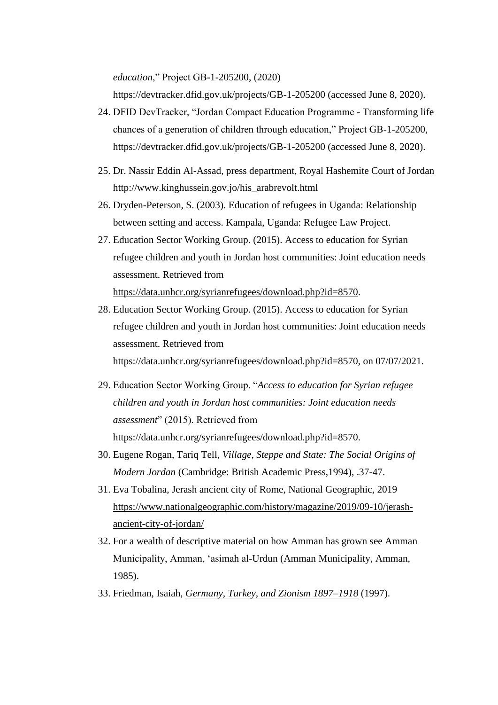*education*," Project GB-1-205200, (2020)

https://devtracker.dfid.gov.uk/projects/GB-1-205200 (accessed June 8, 2020).

- 24. DFID DevTracker, "Jordan Compact Education Programme Transforming life chances of a generation of children through education," Project GB-1-205200, https://devtracker.dfid.gov.uk/projects/GB-1-205200 (accessed June 8, 2020).
- 25. Dr. Nassir Eddin Al-Assad, press department, Royal Hashemite Court of Jordan http://www.kinghussein.gov.jo/his\_arabrevolt.html
- 26. Dryden-Peterson, S. (2003). Education of refugees in Uganda: Relationship between setting and access. Kampala, Uganda: Refugee Law Project.
- 27. Education Sector Working Group. (2015). Access to education for Syrian refugee children and youth in Jordan host communities: Joint education needs assessment. Retrieved from [https://data.unhcr.org/syrianrefugees/download.php?id=8570.](https://data.unhcr.org/syrianrefugees/download.php?id=8570)
- 28. Education Sector Working Group. (2015). Access to education for Syrian refugee children and youth in Jordan host communities: Joint education needs assessment. Retrieved from

https://data.unhcr.org/syrianrefugees/download.php?id=8570, on 07/07/2021.

- 29. Education Sector Working Group. "*Access to education for Syrian refugee children and youth in Jordan host communities: Joint education needs assessment*" (2015). Retrieved from [https://data.unhcr.org/syrianrefugees/download.php?id=8570.](https://data.unhcr.org/syrianrefugees/download.php?id=8570)
- 30. Eugene Rogan, Tariq Tell, *Village, Steppe and State: The Social Origins of Modern Jordan* (Cambridge: British Academic Press,1994), .37-47.
- 31. Eva Tobalina, Jerash ancient city of Rome, National Geographic, 2019 [https://www.nationalgeographic.com/history/magazine/2019/09-10/jerash](https://www.nationalgeographic.com/history/magazine/2019/09-10/jerash-ancient-city-of-jordan/)[ancient-city-of-jordan/](https://www.nationalgeographic.com/history/magazine/2019/09-10/jerash-ancient-city-of-jordan/)
- 32. For a wealth of descriptive material on how Amman has grown see Amman Municipality, Amman, 'asimah al-Urdun (Amman Municipality, Amman, 1985).
- 33. Friedman, Isaiah, *[Germany, Turkey, and Zionism 1897–1918](https://books.google.com/books?id=iv1DADhI6h4C)* (1997).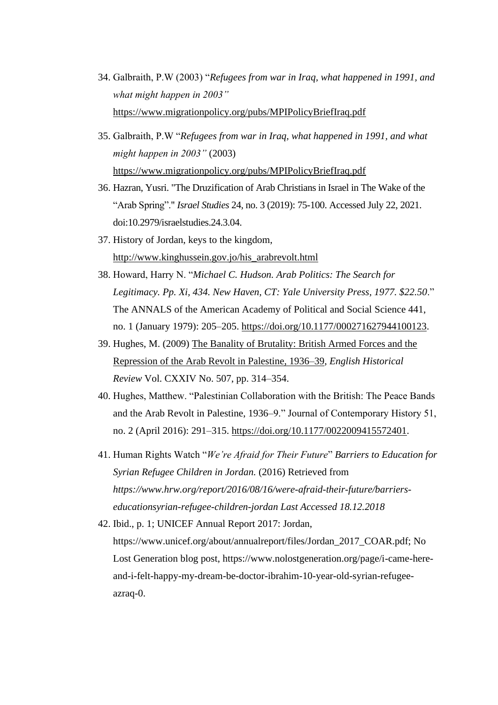- 34. Galbraith, P.W (2003) "*Refugees from war in Iraq, what happened in 1991, and what might happen in 2003"* <https://www.migrationpolicy.org/pubs/MPIPolicyBriefIraq.pdf>
- 35. Galbraith, P.W "*Refugees from war in Iraq, what happened in 1991, and what might happen in 2003"* (2003) <https://www.migrationpolicy.org/pubs/MPIPolicyBriefIraq.pdf>
- 36. Hazran, Yusri. "The Druzification of Arab Christians in Israel in The Wake of the "Arab Spring"." *Israel Studies* 24, no. 3 (2019): 75-100. Accessed July 22, 2021. doi:10.2979/israelstudies.24.3.04.
- 37. History of Jordan, keys to the kingdom, [http://www.kinghussein.gov.jo/his\\_arabrevolt.html](http://www.kinghussein.gov.jo/his_arabrevolt.html)
- 38. Howard, Harry N. "*Michael C. Hudson. Arab Politics: The Search for Legitimacy. Pp. Xi, 434. New Haven, CT: Yale University Press, 1977. \$22.50*." The ANNALS of the American Academy of Political and Social Science 441, no. 1 (January 1979): 205–205. [https://doi.org/10.1177/000271627944100123.](https://doi.org/10.1177/000271627944100123)
- 39. Hughes, M. (2009) [The Banality of Brutality: British Armed Forces and the](https://web.archive.org/web/20160221163210/http:/v-scheiner.brunel.ac.uk/bitstream/2438/7251/4/The%20banality%20of%20brutality.pdf)  [Repression of the Arab Revolt in Palestine, 1936–39,](https://web.archive.org/web/20160221163210/http:/v-scheiner.brunel.ac.uk/bitstream/2438/7251/4/The%20banality%20of%20brutality.pdf) *English Historical Review* Vol. CXXIV No. 507, pp. 314–354.
- 40. Hughes, Matthew. "Palestinian Collaboration with the British: The Peace Bands and the Arab Revolt in Palestine, 1936–9." Journal of Contemporary History 51, no. 2 (April 2016): 291–315. [https://doi.org/10.1177/0022009415572401.](https://doi.org/10.1177/0022009415572401)
- 41. Human Rights Watch "*We're Afraid for Their Future*" *Barriers to Education for Syrian Refugee Children in Jordan.* (2016) Retrieved from *[https://www.hrw.org/report/2016/08/16/were-afraid-their-future/barriers](https://www.hrw.org/report/2016/08/16/were-afraid-their-future/barriers-educationsyrian-refugee-children-jordan%20Last%20Accessed%2018.12.2018)[educationsyrian-refugee-children-jordan Last Accessed 18.12.2018](https://www.hrw.org/report/2016/08/16/were-afraid-their-future/barriers-educationsyrian-refugee-children-jordan%20Last%20Accessed%2018.12.2018)*
- 42. Ibid., p. 1; UNICEF Annual Report 2017: Jordan, https://www.unicef.org/about/annualreport/files/Jordan\_2017\_COAR.pdf; No Lost Generation blog post, https://www.nolostgeneration.org/page/i-came-hereand-i-felt-happy-my-dream-be-doctor-ibrahim-10-year-old-syrian-refugeeazraq-0.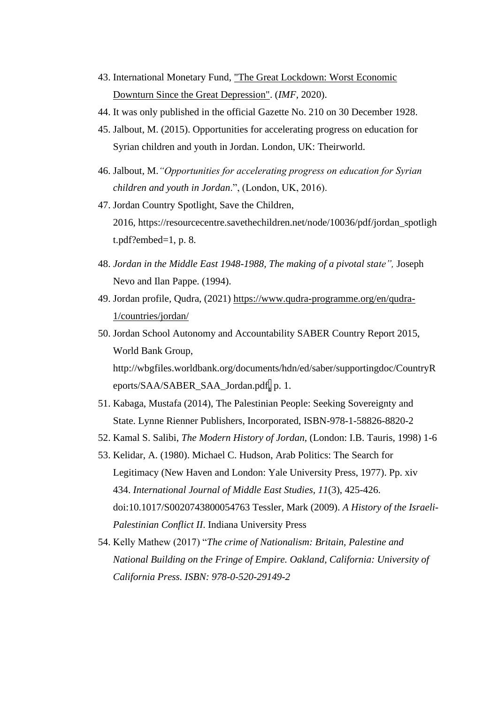- 43. International Monetary Fund, ["The Great Lockdown: Worst Economic](https://blogs.imf.org/2020/04/14/the-great-lockdown-worst-economic-downturn-since-the-great-depression/)  [Downturn Since the Great Depression".](https://blogs.imf.org/2020/04/14/the-great-lockdown-worst-economic-downturn-since-the-great-depression/) (*IMF,* 2020).
- 44. It was only published in the official Gazette No. 210 on 30 December 1928.
- 45. Jalbout, M. (2015). Opportunities for accelerating progress on education for Syrian children and youth in Jordan. London, UK: Theirworld.
- 46. Jalbout, M.*"Opportunities for accelerating progress on education for Syrian children and youth in Jordan*.", (London, UK, 2016).
- 47. Jordan Country Spotlight, Save the Children, 2016, https://resourcecentre.savethechildren.net/node/10036/pdf/jordan\_spotligh t.pdf?embed=1, p. 8.
- 48. *Jordan in the Middle East 1948-1988, The making of a pivotal state",* Joseph Nevo and Ilan Pappe. (1994).
- 49. Jordan profile, Qudra, (2021) [https://www.qudra-programme.org/en/qudra-](https://www.qudra-programme.org/en/qudra-1/countries/jordan/)[1/countries/jordan/](https://www.qudra-programme.org/en/qudra-1/countries/jordan/)
- 50. Jordan School Autonomy and Accountability SABER Country Report 2015, World Bank Group, http://wbgfiles.worldbank.org/documents/hdn/ed/saber/supportingdoc/CountryR eports/SAA/SABER\_SAA\_Jordan.pdf, p. 1.
- 51. Kabaga, Mustafa (2014), The Palestinian People: Seeking Sovereignty and State. Lynne Rienner Publishers, Incorporated, ISBN-978-1-58826-8820-2
- 52. Kamal S. Salibi, *The Modern History of Jordan*, (London: I.B. Tauris, 1998) 1-6
- 53. Kelidar, A. (1980). Michael C. Hudson, Arab Politics: The Search for Legitimacy (New Haven and London: Yale University Press, 1977). Pp. xiv 434. *International Journal of Middle East Studies, 11*(3), 425-426. doi:10.1017/S0020743800054763 Tessler, Mark (2009). *A History of the Israeli-Palestinian Conflict II*. Indiana University Press
- 54. Kelly Mathew (2017) "*The crime of Nationalism: Britain, Palestine and National Building on the Fringe of Empire. Oakland, California: University of California Press. ISBN: 978-0-520-29149-2*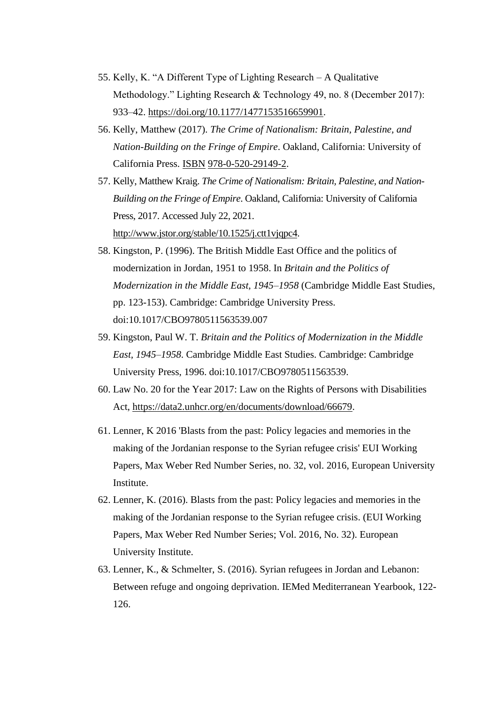- 55. Kelly, K. "A Different Type of Lighting Research A Qualitative Methodology." Lighting Research & Technology 49, no. 8 (December 2017): 933–42. [https://doi.org/10.1177/1477153516659901.](https://doi.org/10.1177/1477153516659901)
- 56. Kelly, Matthew (2017). *The Crime of Nationalism: Britain, Palestine, and Nation-Building on the Fringe of Empire*. Oakland, California: University of California Press. [ISBN](https://en.wikipedia.org/wiki/ISBN_(identifier)) [978-0-520-29149-2.](https://en.wikipedia.org/wiki/Special:BookSources/978-0-520-29149-2)
- 57. Kelly, Matthew Kraig. *The Crime of Nationalism: Britain, Palestine, and Nation-Building on the Fringe of Empire*. Oakland, California: University of California Press, 2017. Accessed July 22, 2021. [http://www.jstor.org/stable/10.1525/j.ctt1vjqpc4.](http://www.jstor.org/stable/10.1525/j.ctt1vjqpc4)
- 58. Kingston, P. (1996). The British Middle East Office and the politics of modernization in Jordan, 1951 to 1958. In *Britain and the Politics of Modernization in the Middle East, 1945–1958* (Cambridge Middle East Studies, pp. 123-153). Cambridge: Cambridge University Press. doi:10.1017/CBO9780511563539.007
- 59. Kingston, Paul W. T. *Britain and the Politics of Modernization in the Middle East, 1945–1958*. Cambridge Middle East Studies. Cambridge: Cambridge University Press, 1996. doi:10.1017/CBO9780511563539.
- 60. Law No. 20 for the Year 2017: Law on the Rights of Persons with Disabilities Act, [https://data2.unhcr.org/en/documents/download/66679.](https://data2.unhcr.org/en/documents/download/66679)
- 61. Lenner, K 2016 'Blasts from the past: Policy legacies and memories in the making of the Jordanian response to the Syrian refugee crisis' EUI Working Papers, Max Weber Red Number Series, no. 32, vol. 2016, European University Institute.
- 62. Lenner, K. (2016). Blasts from the past: Policy legacies and memories in the making of the Jordanian response to the Syrian refugee crisis. (EUI Working Papers, Max Weber Red Number Series; Vol. 2016, No. 32). European University Institute.
- 63. Lenner, K., & Schmelter, S. (2016). Syrian refugees in Jordan and Lebanon: Between refuge and ongoing deprivation. IEMed Mediterranean Yearbook, 122- 126.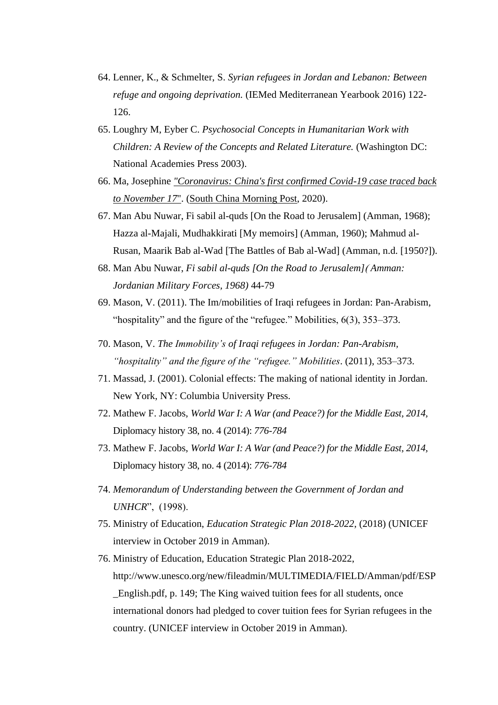- 64. Lenner, K., & Schmelter, S. *Syrian refugees in Jordan and Lebanon: Between refuge and ongoing deprivation.* (IEMed Mediterranean Yearbook 2016) 122- 126.
- 65. Loughry M, Eyber C. *Psychosocial Concepts in Humanitarian Work with Children: A Review of the Concepts and Related Literature.* (Washington DC: National Academies Press 2003).
- 66. Ma, Josephine *["Coronavirus: China's first confirmed Covid-19 case traced back](https://www.scmp.com/news/china/society/article/3074991/coronavirus-chinas-first-confirmed-covid-19-case-traced-back)  [to November 17](https://www.scmp.com/news/china/society/article/3074991/coronavirus-chinas-first-confirmed-covid-19-case-traced-back)*". [\(South China Morning Post,](https://en.wikipedia.org/wiki/South_China_Morning_Post) 2020).
- 67. Man Abu Nuwar, Fi sabil al-quds [On the Road to Jerusalem] (Amman, 1968); Hazza al-Majali, Mudhakkirati [My memoirs] (Amman, 1960); Mahmud al-Rusan, Maarik Bab al-Wad [The Battles of Bab al-Wad] (Amman, n.d. [1950?]).
- 68. Man Abu Nuwar, *Fi sabil al-quds [On the Road to Jerusalem]*) *Amman: Jordanian Military Forces, 1968)* 44-79
- 69. Mason, V. (2011). The Im/mobilities of Iraqi refugees in Jordan: Pan-Arabism, "hospitality" and the figure of the "refugee." Mobilities, 6(3), 353–373.
- 70. Mason, V. *The Immobility's of Iraqi refugees in Jordan: Pan-Arabism, "hospitality" and the figure of the "refugee." Mobilities*. (2011), 353–373.
- 71. Massad, J. (2001). Colonial effects: The making of national identity in Jordan. New York, NY: Columbia University Press.
- 72. Mathew F. Jacobs, *World War I: A War (and Peace?) for the Middle East, 2014,* Diplomacy history 38, no. 4 (2014): *776-784*
- 73. Mathew F. Jacobs, *World War I: A War (and Peace?) for the Middle East, 2014,* Diplomacy history 38, no. 4 (2014): *776-784*
- 74. *Memorandum of Understanding between the Government of Jordan and UNHCR*", (1998).
- 75. Ministry of Education, *Education Strategic Plan 2018-2022*, (2018) (UNICEF interview in October 2019 in Amman).
- 76. Ministry of Education, Education Strategic Plan 2018-2022, http://www.unesco.org/new/fileadmin/MULTIMEDIA/FIELD/Amman/pdf/ESP \_English.pdf, p. 149; The King waived tuition fees for all students, once international donors had pledged to cover tuition fees for Syrian refugees in the country. (UNICEF interview in October 2019 in Amman).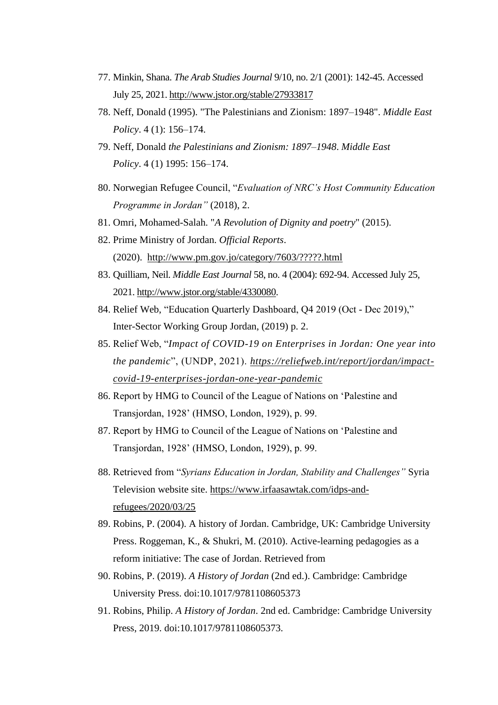- 77. Minkin, Shana. *The Arab Studies Journal* 9/10, no. 2/1 (2001): 142-45. Accessed July 25, 2021[. http://www.jstor.org/stable/27933817](http://www.jstor.org/stable/27933817)
- 78. Neff, Donald (1995). "The Palestinians and Zionism: 1897–1948". *Middle East Policy*. 4 (1): 156–174.
- 79. Neff, Donald *the Palestinians and Zionism: 1897–1948*. *Middle East Policy*. 4 (1) 1995: 156–174.
- 80. Norwegian Refugee Council, "*Evaluation of NRC's Host Community Education Programme in Jordan"* (2018), 2.
- 81. Omri, Mohamed-Salah. "*A Revolution of Dignity and poetry*" (2015).
- 82. Prime Ministry of Jordan. *Official Reports*. (2020). <http://www.pm.gov.jo/category/7603/?????.html>
- 83. Quilliam, Neil. *Middle East Journal* 58, no. 4 (2004): 692-94. Accessed July 25, 2021. [http://www.jstor.org/stable/4330080.](http://www.jstor.org/stable/4330080)
- 84. Relief Web, "Education Quarterly Dashboard, Q4 2019 (Oct Dec 2019)," Inter-Sector Working Group Jordan, (2019) p. 2.
- 85. Relief Web, "*Impact of COVID-19 on Enterprises in Jordan: One year into the pandemic*", (UNDP, 2021). *[https://reliefweb.int/report/jordan/impact](https://reliefweb.int/report/jordan/impact-covid-19-enterprises-jordan-one-year-pandemic)[covid-19-enterprises-jordan-one-year-pandemic](https://reliefweb.int/report/jordan/impact-covid-19-enterprises-jordan-one-year-pandemic)*
- 86. Report by HMG to Council of the League of Nations on 'Palestine and Transjordan, 1928' (HMSO, London, 1929), p. 99.
- 87. Report by HMG to Council of the League of Nations on 'Palestine and Transjordan, 1928' (HMSO, London, 1929), p. 99.
- 88. Retrieved from "*Syrians Education in Jordan, Stability and Challenges"* Syria Television website site. [https://www.irfaasawtak.com/idps-and](https://www.irfaasawtak.com/idps-and-refugees/2020/03/25)[refugees/2020/03/25](https://www.irfaasawtak.com/idps-and-refugees/2020/03/25)
- 89. Robins, P. (2004). A history of Jordan. Cambridge, UK: Cambridge University Press. Roggeman, K., & Shukri, M. (2010). Active-learning pedagogies as a reform initiative: The case of Jordan. Retrieved from
- 90. Robins, P. (2019). *A History of Jordan* (2nd ed.). Cambridge: Cambridge University Press. doi:10.1017/9781108605373
- 91. Robins, Philip. *A History of Jordan*. 2nd ed. Cambridge: Cambridge University Press, 2019. doi:10.1017/9781108605373.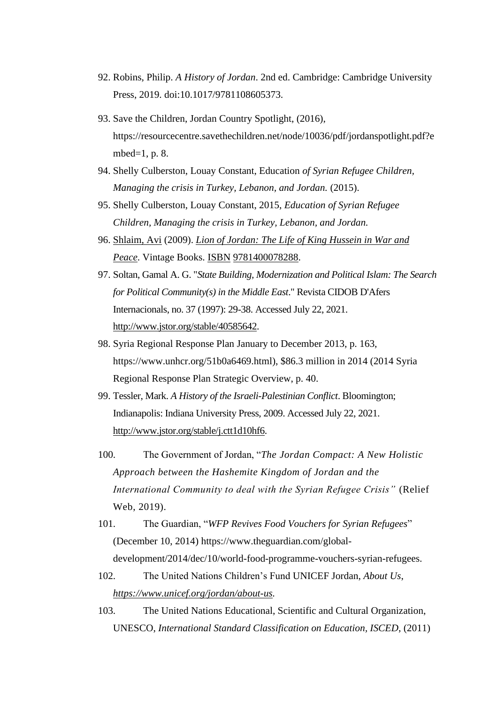- 92. Robins, Philip. *A History of Jordan*. 2nd ed. Cambridge: Cambridge University Press, 2019. doi:10.1017/9781108605373.
- 93. Save the Children, Jordan Country Spotlight, (2016), https://resourcecentre.savethechildren.net/node/10036/pdf/jordanspotlight.pdf?e mbed= $1$ , p. 8.
- 94. Shelly Culberston, Louay Constant, Education *of Syrian Refugee Children, Managing the crisis in Turkey, Lebanon, and Jordan.* (2015).
- 95. Shelly Culberston, Louay Constant, 2015, *Education of Syrian Refugee Children, Managing the crisis in Turkey, Lebanon, and Jordan.*
- 96. [Shlaim, Avi](https://en.wikipedia.org/wiki/Avi_Shlaim) (2009). *[Lion of Jordan: The Life of King Hussein in War and](https://books.google.com/books?id=JtrCoUf7wCsC)  [Peace](https://books.google.com/books?id=JtrCoUf7wCsC)*. Vintage Books. [ISBN](https://en.wikipedia.org/wiki/ISBN_(identifier)) [9781400078288.](https://en.wikipedia.org/wiki/Special:BookSources/9781400078288)
- 97. Soltan, Gamal A. G. "*State Building, Modernization and Political Islam: The Search for Political Community(s) in the Middle East*." Revista CIDOB D'Afers Internacionals, no. 37 (1997): 29-38. Accessed July 22, 2021. [http://www.jstor.org/stable/40585642.](http://www.jstor.org/stable/40585642)
- 98. Syria Regional Response Plan January to December 2013, p. 163, https://www.unhcr.org/51b0a6469.html), \$86.3 million in 2014 (2014 Syria Regional Response Plan Strategic Overview, p. 40.
- 99. Tessler, Mark. *A History of the Israeli-Palestinian Conflict*. Bloomington; Indianapolis: Indiana University Press, 2009. Accessed July 22, 2021. [http://www.jstor.org/stable/j.ctt1d10hf6.](http://www.jstor.org/stable/j.ctt1d10hf6)
- 100. The Government of Jordan, "*The Jordan Compact: A New Holistic Approach between the Hashemite Kingdom of Jordan and the International Community to deal with the Syrian Refugee Crisis"* (Relief Web, 2019).
- 101. The Guardian, "*WFP Revives Food Vouchers for Syrian Refugees*" (December 10, 2014) https://www.theguardian.com/globaldevelopment/2014/dec/10/world-food-programme-vouchers-syrian-refugees.
- 102. The United Nations Children's Fund UNICEF Jordan, *About Us*, *[https://www.unicef.org/jordan/about-us.](https://www.unicef.org/jordan/about-us)*
- 103. The United Nations Educational, Scientific and Cultural Organization, UNESCO, *International Standard Classification on Education, ISCED*, (2011)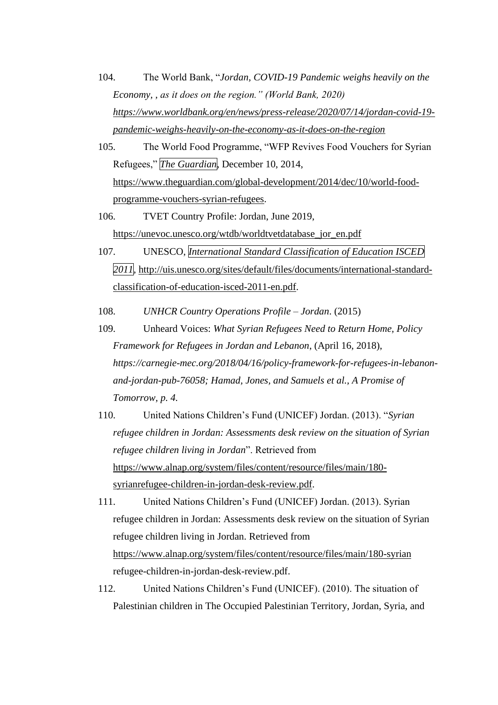- 104. The World Bank, "*Jordan, COVID-19 Pandemic weighs heavily on the Economy, , as it does on the region." (World Bank, 2020) [https://www.worldbank.org/en/news/press-release/2020/07/14/jordan-covid-19](https://www.worldbank.org/en/news/press-release/2020/07/14/jordan-covid-19-pandemic-weighs-heavily-on-the-economy-as-it-does-on-the-region) [pandemic-weighs-heavily-on-the-economy-as-it-does-on-the-region](https://www.worldbank.org/en/news/press-release/2020/07/14/jordan-covid-19-pandemic-weighs-heavily-on-the-economy-as-it-does-on-the-region)*
- 105. The World Food Programme, "WFP Revives Food Vouchers for Syrian Refugees," *The Guardian*, December 10, 2014, [https://www.theguardian.com/global-development/2014/dec/10/world-food](https://www.theguardian.com/global-development/2014/dec/10/world-food-programme-vouchers-syrian-refugees)[programme-vouchers-syrian-refugees.](https://www.theguardian.com/global-development/2014/dec/10/world-food-programme-vouchers-syrian-refugees)
- 106. TVET Country Profile: Jordan, June 2019, [https://unevoc.unesco.org/wtdb/worldtvetdatabase\\_jor\\_en.pdf](https://unevoc.unesco.org/wtdb/worldtvetdatabase_jor_en.pdf)
- 107. UNESCO, *International Standard Classification of Education ISCED 2011*, [http://uis.unesco.org/sites/default/files/documents/international-standard](http://uis.unesco.org/sites/default/files/documents/international-standard-classification-of-education-isced-2011-en.pdf)[classification-of-education-isced-2011-en.pdf.](http://uis.unesco.org/sites/default/files/documents/international-standard-classification-of-education-isced-2011-en.pdf)
- 108. *UNHCR Country Operations Profile – Jordan*. (2015)
- 109. Unheard Voices: *What Syrian Refugees Need to Return Home, Policy Framework for Refugees in Jordan and Lebanon*, (April 16, 2018), *https://carnegie-mec.org/2018/04/16/policy-framework-for-refugees-in-lebanonand-jordan-pub-76058; Hamad, Jones, and Samuels et al., A Promise of Tomorrow, p. 4.*
- 110. United Nations Children's Fund (UNICEF) Jordan. (2013). "*Syrian refugee children in Jordan: Assessments desk review on the situation of Syrian refugee children living in Jordan*". Retrieved from [https://www.alnap.org/system/files/content/resource/files/main/180](https://www.alnap.org/system/files/content/resource/files/main/180-syrianrefugee-children-in-jordan-desk-review.pdf) [syrianrefugee-children-in-jordan-desk-review.pdf.](https://www.alnap.org/system/files/content/resource/files/main/180-syrianrefugee-children-in-jordan-desk-review.pdf)
- 111. United Nations Children's Fund (UNICEF) Jordan. (2013). Syrian refugee children in Jordan: Assessments desk review on the situation of Syrian refugee children living in Jordan. Retrieved from <https://www.alnap.org/system/files/content/resource/files/main/180-syrian> refugee-children-in-jordan-desk-review.pdf.
- 112. United Nations Children's Fund (UNICEF). (2010). The situation of Palestinian children in The Occupied Palestinian Territory, Jordan, Syria, and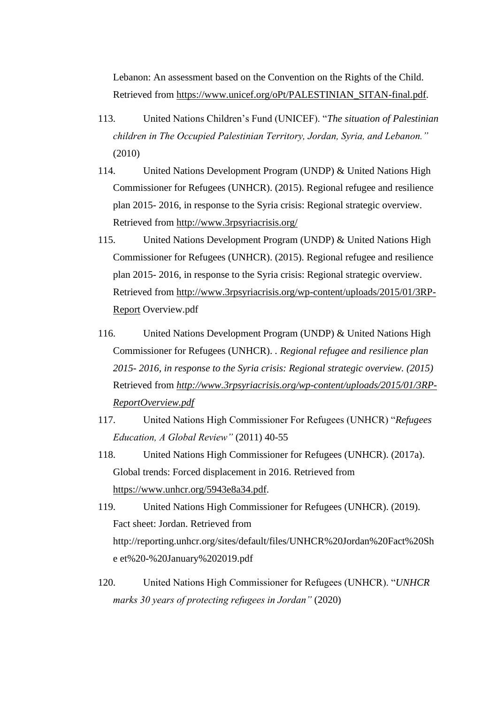Lebanon: An assessment based on the Convention on the Rights of the Child. Retrieved from [https://www.unicef.org/oPt/PALESTINIAN\\_SITAN-final.pdf.](https://www.unicef.org/oPt/PALESTINIAN_SITAN-final.pdf)

- 113. United Nations Children's Fund (UNICEF). "*The situation of Palestinian children in The Occupied Palestinian Territory, Jordan, Syria, and Lebanon."*  (2010)
- 114. United Nations Development Program (UNDP) & United Nations High Commissioner for Refugees (UNHCR). (2015). Regional refugee and resilience plan 2015- 2016, in response to the Syria crisis: Regional strategic overview. Retrieved from<http://www.3rpsyriacrisis.org/>
- 115. United Nations Development Program (UNDP) & United Nations High Commissioner for Refugees (UNHCR). (2015). Regional refugee and resilience plan 2015- 2016, in response to the Syria crisis: Regional strategic overview. Retrieved from [http://www.3rpsyriacrisis.org/wp-content/uploads/2015/01/3RP-](http://www.3rpsyriacrisis.org/wp-content/uploads/2015/01/3RP-Report)[Report](http://www.3rpsyriacrisis.org/wp-content/uploads/2015/01/3RP-Report) Overview.pdf
- 116. United Nations Development Program (UNDP) & United Nations High Commissioner for Refugees (UNHCR). *. Regional refugee and resilience plan 2015- 2016, in response to the Syria crisis: Regional strategic overview. (2015)*  Retrieved from *[http://www.3rpsyriacrisis.org/wp-content/uploads/2015/01/3RP-](http://www.3rpsyriacrisis.org/wp-content/uploads/2015/01/3RP-ReportOverview.pdf)[ReportOverview.pdf](http://www.3rpsyriacrisis.org/wp-content/uploads/2015/01/3RP-ReportOverview.pdf)*
- 117. United Nations High Commissioner For Refugees (UNHCR) "*Refugees Education, A Global Review"* (2011) 40-55
- 118. United Nations High Commissioner for Refugees (UNHCR). (2017a). Global trends: Forced displacement in 2016. Retrieved from [https://www.unhcr.org/5943e8a34.pdf.](https://www.unhcr.org/5943e8a34.pdf)
- 119. United Nations High Commissioner for Refugees (UNHCR). (2019). Fact sheet: Jordan. Retrieved from http://reporting.unhcr.org/sites/default/files/UNHCR%20Jordan%20Fact%20Sh e et%20-%20January%202019.pdf
- 120. United Nations High Commissioner for Refugees (UNHCR). "*UNHCR marks 30 years of protecting refugees in Jordan"* (2020)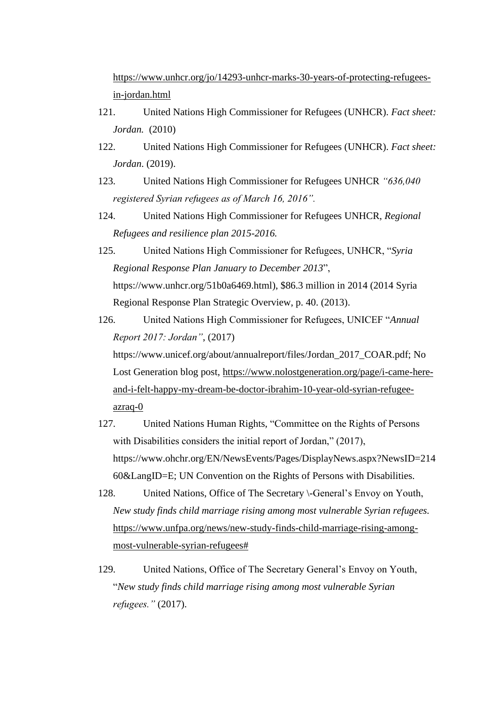[https://www.unhcr.org/jo/14293-unhcr-marks-30-years-of-protecting-refugees](https://www.unhcr.org/jo/14293-unhcr-marks-30-years-of-protecting-refugees-in-jordan.html)[in-jordan.html](https://www.unhcr.org/jo/14293-unhcr-marks-30-years-of-protecting-refugees-in-jordan.html)

- 121. United Nations High Commissioner for Refugees (UNHCR). *Fact sheet: Jordan.* (2010)
- 122. United Nations High Commissioner for Refugees (UNHCR). *Fact sheet: Jordan*. (2019).
- 123. United Nations High Commissioner for Refugees UNHCR *"636,040 registered Syrian refugees as of March 16, 2016".*
- 124. United Nations High Commissioner for Refugees UNHCR, *Regional Refugees and resilience plan 2015-2016.*
- 125. United Nations High Commissioner for Refugees, UNHCR, "*Syria Regional Response Plan January to December 2013*", https://www.unhcr.org/51b0a6469.html), \$86.3 million in 2014 (2014 Syria Regional Response Plan Strategic Overview, p. 40. (2013).
- 126. United Nations High Commissioner for Refugees, UNICEF "*Annual Report 2017: Jordan"*, (2017) https://www.unicef.org/about/annualreport/files/Jordan\_2017\_COAR.pdf; No Lost Generation blog post, [https://www.nolostgeneration.org/page/i-came-here](https://www.nolostgeneration.org/page/i-came-here-and-i-felt-happy-my-dream-be-doctor-ibrahim-10-year-old-syrian-refugee-azraq-0)[and-i-felt-happy-my-dream-be-doctor-ibrahim-10-year-old-syrian-refugee](https://www.nolostgeneration.org/page/i-came-here-and-i-felt-happy-my-dream-be-doctor-ibrahim-10-year-old-syrian-refugee-azraq-0)[azraq-0](https://www.nolostgeneration.org/page/i-came-here-and-i-felt-happy-my-dream-be-doctor-ibrahim-10-year-old-syrian-refugee-azraq-0)
- 127. United Nations Human Rights, "Committee on the Rights of Persons with Disabilities considers the initial report of Jordan," (2017), https://www.ohchr.org/EN/NewsEvents/Pages/DisplayNews.aspx?NewsID=214 60&LangID=E; UN Convention on the Rights of Persons with Disabilities.
- 128. United Nations, Office of The Secretary \-General's Envoy on Youth, *New study finds child marriage rising among most vulnerable Syrian refugees.*  [https://www.unfpa.org/news/new-study-finds-child-marriage-rising-among](https://www.unfpa.org/news/new-study-finds-child-marriage-rising-among-most-vulnerable-syrian-refugees)[most-vulnerable-syrian-refugees#](https://www.unfpa.org/news/new-study-finds-child-marriage-rising-among-most-vulnerable-syrian-refugees)
- 129. United Nations, Office of The Secretary General's Envoy on Youth, "*New study finds child marriage rising among most vulnerable Syrian refugees."* (2017).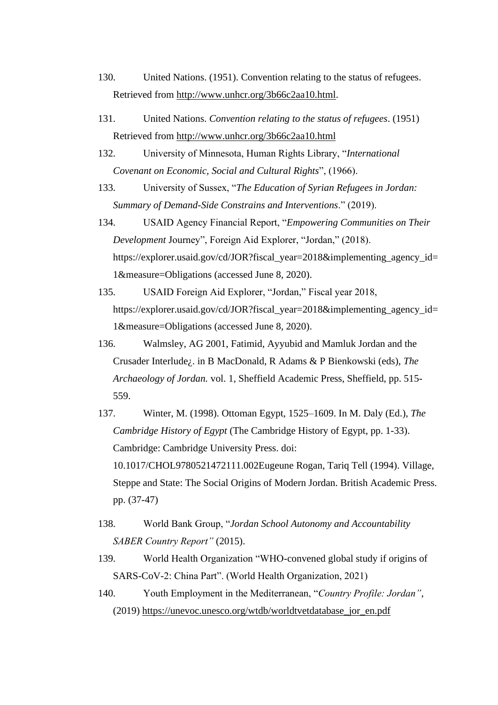- 130. United Nations. (1951). Convention relating to the status of refugees. Retrieved from [http://www.unhcr.org/3b66c2aa10.html.](http://www.unhcr.org/3b66c2aa10.html)
- 131. United Nations. *Convention relating to the status of refugees*. (1951) Retrieved from<http://www.unhcr.org/3b66c2aa10.html>
- 132. University of Minnesota, Human Rights Library, "*International Covenant on Economic, Social and Cultural Rights*", (1966).
- 133. University of Sussex, "*The Education of Syrian Refugees in Jordan: Summary of Demand-Side Constrains and Interventions*." (2019).
- 134. USAID Agency Financial Report, "*Empowering Communities on Their Development* Journey", Foreign Aid Explorer, "Jordan," (2018). https://explorer.usaid.gov/cd/JOR?fiscal\_year=2018&implementing\_agency\_id= 1&measure=Obligations (accessed June 8, 2020).
- 135. USAID Foreign Aid Explorer, "Jordan," Fiscal year 2018, https://explorer.usaid.gov/cd/JOR?fiscal\_year=2018&implementing\_agency\_id= 1&measure=Obligations (accessed June 8, 2020).
- 136. Walmsley, AG 2001, Fatimid, Ayyubid and Mamluk Jordan and the Crusader Interlude¿. in B MacDonald, R Adams & P Bienkowski (eds), *The Archaeology of Jordan.* vol. 1, Sheffield Academic Press, Sheffield, pp. 515- 559.
- 137. Winter, M. (1998). Ottoman Egypt, 1525–1609. In M. Daly (Ed.), *The Cambridge History of Egypt* (The Cambridge History of Egypt, pp. 1-33). Cambridge: Cambridge University Press. doi: 10.1017/CHOL9780521472111.002Eugeune Rogan, Tariq Tell (1994). Village, Steppe and State: The Social Origins of Modern Jordan. British Academic Press. pp. (37-47)
- 138. World Bank Group, "*Jordan School Autonomy and Accountability SABER Country Report"* (2015).
- 139. World Health Organization "WHO-convened global study if origins of SARS-CoV-2: China Part". (World Health Organization, 2021)
- 140. Youth Employment in the Mediterranean, "*Country Profile: Jordan"*, (2019) [https://unevoc.unesco.org/wtdb/worldtvetdatabase\\_jor\\_en.pdf](https://unevoc.unesco.org/wtdb/worldtvetdatabase_jor_en.pdf)